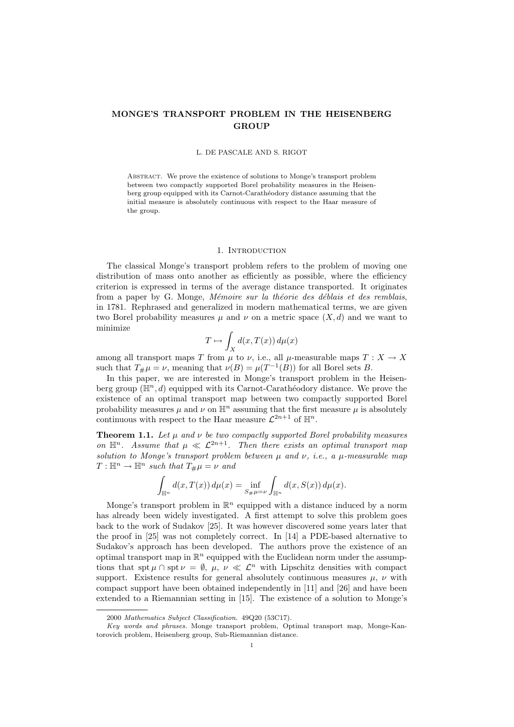# MONGE'S TRANSPORT PROBLEM IN THE HEISENBERG **GROUP**

## L. DE PASCALE AND S. RIGOT

Abstract. We prove the existence of solutions to Monge's transport problem between two compactly supported Borel probability measures in the Heisenberg group equipped with its Carnot-Carathéodory distance assuming that the initial measure is absolutely continuous with respect to the Haar measure of the group.

## 1. INTRODUCTION

The classical Monge's transport problem refers to the problem of moving one distribution of mass onto another as efficiently as possible, where the efficiency criterion is expressed in terms of the average distance transported. It originates from a paper by G. Monge, Mémoire sur la théorie des déblais et des remblais, in 1781. Rephrased and generalized in modern mathematical terms, we are given two Borel probability measures  $\mu$  and  $\nu$  on a metric space  $(X, d)$  and we want to minimize

$$
T \mapsto \int_X d(x, T(x)) d\mu(x)
$$

among all transport maps T from  $\mu$  to  $\nu$ , i.e., all  $\mu$ -measurable maps  $T : X \to X$ such that  $T_{\#}\mu = \nu$ , meaning that  $\nu(B) = \mu(T^{-1}(B))$  for all Borel sets B.

In this paper, we are interested in Monge's transport problem in the Heisenberg group  $(\mathbb{H}^n, d)$  equipped with its Carnot-Carathéodory distance. We prove the existence of an optimal transport map between two compactly supported Borel probability measures  $\mu$  and  $\nu$  on  $\mathbb{H}^n$  assuming that the first measure  $\mu$  is absolutely continuous with respect to the Haar measure  $\mathcal{L}^{2n+1}$  of  $\mathbb{H}^n$ .

**Theorem 1.1.** Let  $\mu$  and  $\nu$  be two compactly supported Borel probability measures on  $\mathbb{H}^n$ . Assume that  $\mu \ll \mathcal{L}^{2n+1}$ . Then there exists an optimal transport map solution to Monge's transport problem between  $\mu$  and  $\nu$ , i.e., a  $\mu$ -measurable map  $T: \mathbb{H}^n \to \mathbb{H}^n$  such that  $T_{\#}\mu = \nu$  and

$$
\int_{\mathbb{H}^n} d(x, T(x)) d\mu(x) = \inf_{S \neq \mu = \nu} \int_{\mathbb{H}^n} d(x, S(x)) d\mu(x).
$$

Monge's transport problem in  $\mathbb{R}^n$  equipped with a distance induced by a norm has already been widely investigated. A first attempt to solve this problem goes back to the work of Sudakov [25]. It was however discovered some years later that the proof in [25] was not completely correct. In [14] a PDE-based alternative to Sudakov's approach has been developed. The authors prove the existence of an optimal transport map in  $\mathbb{R}^n$  equipped with the Euclidean norm under the assumptions that spt  $\mu \cap \text{spt } \nu = \emptyset$ ,  $\mu$ ,  $\nu \ll \mathcal{L}^n$  with Lipschitz densities with compact support. Existence results for general absolutely continuous measures  $\mu$ ,  $\nu$  with compact support have been obtained independently in [11] and [26] and have been extended to a Riemannian setting in [15]. The existence of a solution to Monge's

<sup>2000</sup> Mathematics Subject Classification. 49Q20 (53C17).

Key words and phrases. Monge transport problem, Optimal transport map, Monge-Kantorovich problem, Heisenberg group, Sub-Riemannian distance.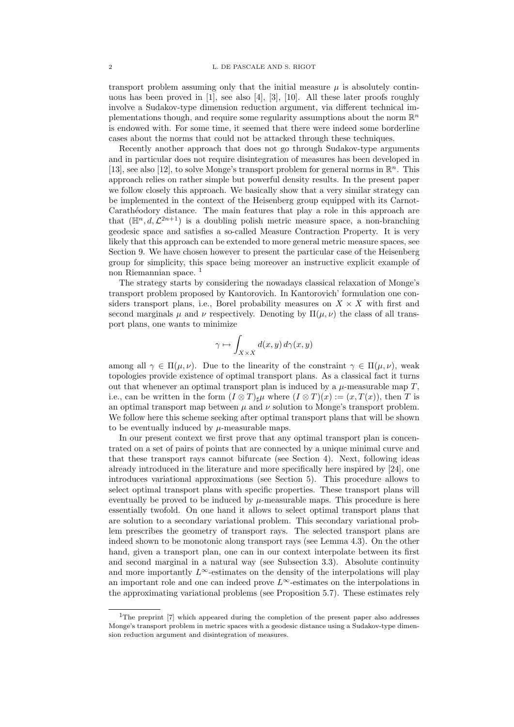transport problem assuming only that the initial measure  $\mu$  is absolutely continuous has been proved in [1], see also [4], [3], [10]. All these later proofs roughly involve a Sudakov-type dimension reduction argument, via different technical implementations though, and require some regularity assumptions about the norm  $\mathbb{R}^n$ is endowed with. For some time, it seemed that there were indeed some borderline cases about the norms that could not be attacked through these techniques.

Recently another approach that does not go through Sudakov-type arguments and in particular does not require disintegration of measures has been developed in [13], see also [12], to solve Monge's transport problem for general norms in  $\mathbb{R}^n$ . This approach relies on rather simple but powerful density results. In the present paper we follow closely this approach. We basically show that a very similar strategy can be implemented in the context of the Heisenberg group equipped with its Carnot-Carathéodory distance. The main features that play a role in this approach are that  $(\mathbb{H}^n, d, \mathcal{L}^{2n+1})$  is a doubling polish metric measure space, a non-branching geodesic space and satisfies a so-called Measure Contraction Property. It is very likely that this approach can be extended to more general metric measure spaces, see Section 9. We have chosen however to present the particular case of the Heisenberg group for simplicity, this space being moreover an instructive explicit example of non Riemannian space.<sup>1</sup>

The strategy starts by considering the nowadays classical relaxation of Monge's transport problem proposed by Kantorovich. In Kantorovich' formulation one considers transport plans, i.e., Borel probability measures on  $X \times X$  with first and second marginals  $\mu$  and  $\nu$  respectively. Denoting by  $\Pi(\mu, \nu)$  the class of all transport plans, one wants to minimize

$$
\gamma \mapsto \int_{X \times X} d(x, y) d\gamma(x, y)
$$

among all  $\gamma \in \Pi(\mu, \nu)$ . Due to the linearity of the constraint  $\gamma \in \Pi(\mu, \nu)$ , weak topologies provide existence of optimal transport plans. As a classical fact it turns out that whenever an optimal transport plan is induced by a  $\mu$ -measurable map T, i.e., can be written in the form  $(I \otimes T)_\# \mu$  where  $(I \otimes T)(x) := (x, T(x))$ , then T is an optimal transport map between  $\mu$  and  $\nu$  solution to Monge's transport problem. We follow here this scheme seeking after optimal transport plans that will be shown to be eventually induced by  $\mu$ -measurable maps.

In our present context we first prove that any optimal transport plan is concentrated on a set of pairs of points that are connected by a unique minimal curve and that these transport rays cannot bifurcate (see Section 4). Next, following ideas already introduced in the literature and more specifically here inspired by [24], one introduces variational approximations (see Section 5). This procedure allows to select optimal transport plans with specific properties. These transport plans will eventually be proved to be induced by  $\mu$ -measurable maps. This procedure is here essentially twofold. On one hand it allows to select optimal transport plans that are solution to a secondary variational problem. This secondary variational problem prescribes the geometry of transport rays. The selected transport plans are indeed shown to be monotonic along transport rays (see Lemma 4.3). On the other hand, given a transport plan, one can in our context interpolate between its first and second marginal in a natural way (see Subsection 3.3). Absolute continuity and more importantly  $L^{\infty}$ -estimates on the density of the interpolations will play an important role and one can indeed prove  $L^{\infty}$ -estimates on the interpolations in the approximating variational problems (see Proposition 5.7). These estimates rely

<sup>&</sup>lt;sup>1</sup>The preprint [7] which appeared during the completion of the present paper also addresses Monge's transport problem in metric spaces with a geodesic distance using a Sudakov-type dimension reduction argument and disintegration of measures.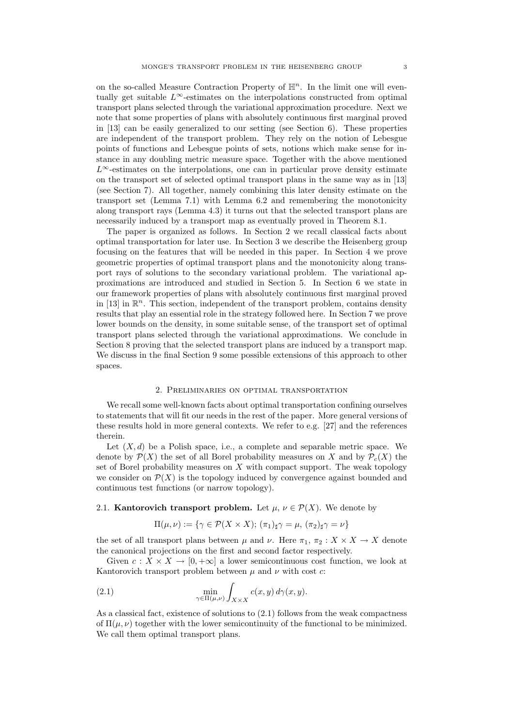on the so-called Measure Contraction Property of  $\mathbb{H}^n$ . In the limit one will eventually get suitable  $L^{\infty}$ -estimates on the interpolations constructed from optimal transport plans selected through the variational approximation procedure. Next we note that some properties of plans with absolutely continuous first marginal proved in  $[13]$  can be easily generalized to our setting (see Section 6). These properties are independent of the transport problem. They rely on the notion of Lebesgue points of functions and Lebesgue points of sets, notions which make sense for instance in any doubling metric measure space. Together with the above mentioned  $L^{\infty}$ -estimates on the interpolations, one can in particular prove density estimate on the transport set of selected optimal transport plans in the same way as in [13] (see Section 7). All together, namely combining this later density estimate on the transport set (Lemma 7.1) with Lemma 6.2 and remembering the monotonicity along transport rays (Lemma 4.3) it turns out that the selected transport plans are necessarily induced by a transport map as eventually proved in Theorem 8.1.

The paper is organized as follows. In Section 2 we recall classical facts about optimal transportation for later use. In Section 3 we describe the Heisenberg group focusing on the features that will be needed in this paper. In Section 4 we prove geometric properties of optimal transport plans and the monotonicity along transport rays of solutions to the secondary variational problem. The variational approximations are introduced and studied in Section 5. In Section 6 we state in our framework properties of plans with absolutely continuous first marginal proved in [13] in  $\mathbb{R}^n$ . This section, independent of the transport problem, contains density results that play an essential role in the strategy followed here. In Section 7 we prove lower bounds on the density, in some suitable sense, of the transport set of optimal transport plans selected through the variational approximations. We conclude in Section 8 proving that the selected transport plans are induced by a transport map. We discuss in the final Section 9 some possible extensions of this approach to other spaces.

## 2. Preliminaries on optimal transportation

We recall some well-known facts about optimal transportation confining ourselves to statements that will fit our needs in the rest of the paper. More general versions of these results hold in more general contexts. We refer to e.g. [27] and the references therein.

Let  $(X, d)$  be a Polish space, i.e., a complete and separable metric space. We denote by  $\mathcal{P}(X)$  the set of all Borel probability measures on X and by  $\mathcal{P}_c(X)$  the set of Borel probability measures on  $X$  with compact support. The weak topology we consider on  $\mathcal{P}(X)$  is the topology induced by convergence against bounded and continuous test functions (or narrow topology).

## 2.1. Kantorovich transport problem. Let  $\mu, \nu \in \mathcal{P}(X)$ . We denote by

$$
\Pi(\mu,\nu) := \{ \gamma \in \mathcal{P}(X \times X); \, (\pi_1)_{\sharp} \gamma = \mu, \, (\pi_2)_{\sharp} \gamma = \nu \}
$$

the set of all transport plans between  $\mu$  and  $\nu$ . Here  $\pi_1$ ,  $\pi_2: X \times X \to X$  denote the canonical projections on the first and second factor respectively.

Given  $c: X \times X \to [0, +\infty]$  a lower semicontinuous cost function, we look at Kantorovich transport problem between  $\mu$  and  $\nu$  with cost  $c$ :

(2.1) 
$$
\min_{\gamma \in \Pi(\mu,\nu)} \int_{X \times X} c(x,y) d\gamma(x,y).
$$

As a classical fact, existence of solutions to (2.1) follows from the weak compactness of  $\Pi(\mu, \nu)$  together with the lower semicontinuity of the functional to be minimized. We call them optimal transport plans.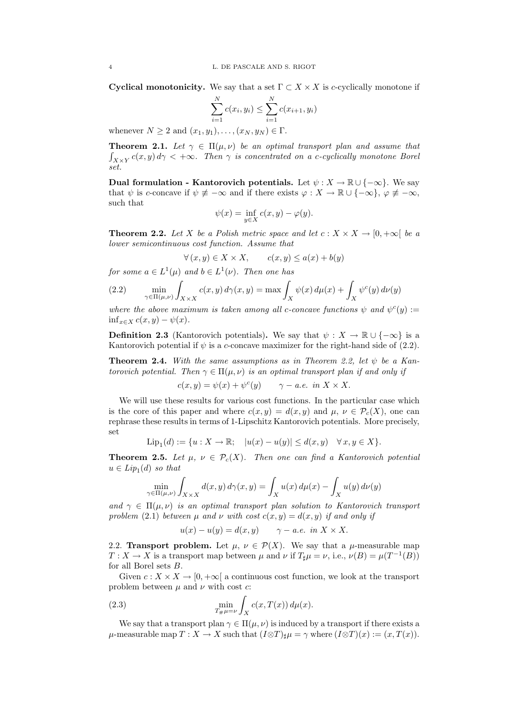Cyclical monotonicity. We say that a set  $\Gamma \subset X \times X$  is c-cyclically monotone if

$$
\sum_{i=1}^{N} c(x_i, y_i) \le \sum_{i=1}^{N} c(x_{i+1}, y_i)
$$

whenever  $N \geq 2$  and  $(x_1, y_1), \ldots, (x_N, y_N) \in \Gamma$ .

**Theorem 2.1.** Let  $\gamma \in \Pi(\mu, \nu)$  be an optimal transport plan and assume that  $\int_{X\times Y} c(x,y) d\gamma < +\infty$ . Then  $\gamma$  is concentrated on a c-cyclically monotone Borel set.

Dual formulation - Kantorovich potentials. Let  $\psi : X \to \mathbb{R} \cup \{-\infty\}$ . We say that  $\psi$  is c-concave if  $\psi \neq -\infty$  and if there exists  $\varphi : X \to \mathbb{R} \cup \{-\infty\}, \varphi \neq -\infty$ , such that

$$
\psi(x) = \inf_{y \in X} c(x, y) - \varphi(y).
$$

**Theorem 2.2.** Let X be a Polish metric space and let  $c: X \times X \rightarrow [0, +\infty[$  be a lower semicontinuous cost function. Assume that

$$
\forall (x, y) \in X \times X, \qquad c(x, y) \le a(x) + b(y)
$$

for some  $a \in L^1(\mu)$  and  $b \in L^1(\nu)$ . Then one has

(2.2) 
$$
\min_{\gamma \in \Pi(\mu,\nu)} \int_{X \times X} c(x,y) d\gamma(x,y) = \max \int_X \psi(x) d\mu(x) + \int_X \psi^c(y) d\nu(y)
$$

where the above maximum is taken among all c-concave functions  $\psi$  and  $\psi^c(y) :=$  $\inf_{x \in X} c(x, y) - \psi(x)$ .

**Definition 2.3** (Kantorovich potentials). We say that  $\psi : X \to \mathbb{R} \cup \{-\infty\}$  is a Kantorovich potential if  $\psi$  is a c-concave maximizer for the right-hand side of (2.2).

**Theorem 2.4.** With the same assumptions as in Theorem 2.2, let  $\psi$  be a Kantorovich potential. Then  $\gamma \in \Pi(\mu, \nu)$  is an optimal transport plan if and only if

$$
c(x, y) = \psi(x) + \psi^{c}(y) \qquad \gamma - a.e. \text{ in } X \times X.
$$

We will use these results for various cost functions. In the particular case which is the core of this paper and where  $c(x, y) = d(x, y)$  and  $\mu, \nu \in \mathcal{P}_c(X)$ , one can rephrase these results in terms of 1-Lipschitz Kantorovich potentials. More precisely, set

$$
\mathrm{Lip}_1(d):=\{u:X\to\mathbb{R};\quad |u(x)-u(y)|\leq d(x,y)\quad\forall\,x,y\in X\}.
$$

**Theorem 2.5.** Let  $\mu$ ,  $\nu \in \mathcal{P}_c(X)$ . Then one can find a Kantorovich potential  $u \in Lip_1(d)$  so that

$$
\min_{\gamma \in \Pi(\mu,\nu)} \int_{X \times X} d(x,y) d\gamma(x,y) = \int_X u(x) d\mu(x) - \int_X u(y) d\nu(y)
$$

and  $\gamma \in \Pi(\mu, \nu)$  is an optimal transport plan solution to Kantorovich transport problem (2.1) between u and v with cost  $c(x, y) = d(x, y)$  if and only if

$$
u(x) - u(y) = d(x, y) \qquad \gamma - a.e. \text{ in } X \times X.
$$

2.2. **Transport problem.** Let  $\mu$ ,  $\nu \in \mathcal{P}(X)$ . We say that a  $\mu$ -measurable map  $T: X \to X$  is a transport map between  $\mu$  and  $\nu$  if  $T_{\sharp}\mu = \nu$ , i.e.,  $\nu(B) = \mu(T^{-1}(B))$ for all Borel sets B.

Given  $c: X \times X \to [0, +\infty]$  a continuous cost function, we look at the transport problem between  $\mu$  and  $\nu$  with cost  $c$ :

(2.3) 
$$
\min_{T_{\#}\mu=\nu} \int_{X} c(x, T(x)) d\mu(x).
$$

We say that a transport plan  $\gamma \in \Pi(\mu, \nu)$  is induced by a transport if there exists a  $\mu$ -measurable map  $T : X \to X$  such that  $(I \otimes T)_\sharp \mu = \gamma$  where  $(I \otimes T)(x) := (x, T(x))$ .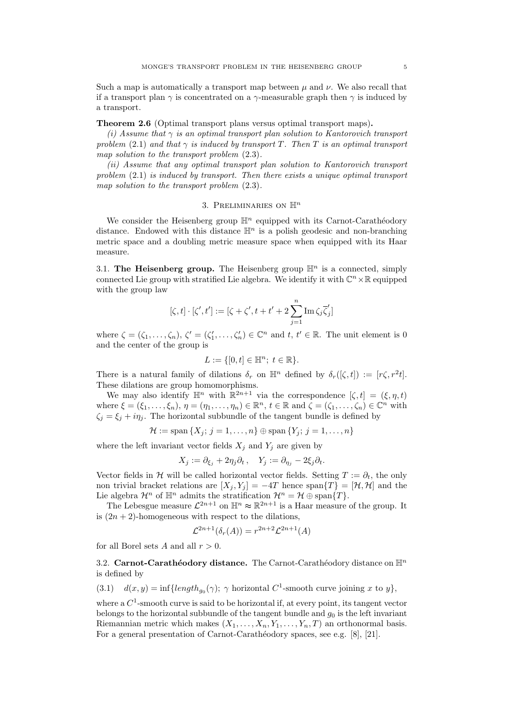Such a map is automatically a transport map between  $\mu$  and  $\nu$ . We also recall that if a transport plan  $\gamma$  is concentrated on a  $\gamma$ -measurable graph then  $\gamma$  is induced by a transport.

## Theorem 2.6 (Optimal transport plans versus optimal transport maps).

(i) Assume that  $\gamma$  is an optimal transport plan solution to Kantorovich transport problem (2.1) and that  $\gamma$  is induced by transport T. Then T is an optimal transport map solution to the transport problem (2.3).

(ii) Assume that any optimal transport plan solution to Kantorovich transport problem (2.1) is induced by transport. Then there exists a unique optimal transport map solution to the transport problem (2.3).

## 3. PRELIMINARIES ON  $\mathbb{H}^n$

We consider the Heisenberg group  $\mathbb{H}^n$  equipped with its Carnot-Carathéodory distance. Endowed with this distance  $\mathbb{H}^n$  is a polish geodesic and non-branching metric space and a doubling metric measure space when equipped with its Haar measure.

3.1. The Heisenberg group. The Heisenberg group  $\mathbb{H}^n$  is a connected, simply connected Lie group with stratified Lie algebra. We identify it with  $\mathbb{C}^n \times \mathbb{R}$  equipped with the group law

$$
[\zeta,t]\cdot[\zeta',t'] := [\zeta+\zeta',t+t'+2\sum_{j=1}^n{\rm Im}\,\zeta_j\overline{\zeta}'_j]
$$

where  $\zeta = (\zeta_1, \ldots, \zeta_n)$ ,  $\zeta' = (\zeta'_1, \ldots, \zeta'_n) \in \mathbb{C}^n$  and  $t, t' \in \mathbb{R}$ . The unit element is 0 and the center of the group is

$$
L := \{ [0, t] \in \mathbb{H}^n; \ t \in \mathbb{R} \}.
$$

There is a natural family of dilations  $\delta_r$  on  $\mathbb{H}^n$  defined by  $\delta_r([\zeta, t]) := [r\zeta, r^2t]$ . These dilations are group homomorphisms.

We may also identify  $\mathbb{H}^n$  with  $\mathbb{R}^{2n+1}$  via the correspondence  $[\zeta, t] = (\xi, \eta, t)$ where  $\xi = (\xi_1, \ldots, \xi_n)$ ,  $\eta = (\eta_1, \ldots, \eta_n) \in \mathbb{R}^n$ ,  $t \in \mathbb{R}$  and  $\zeta = (\zeta_1, \ldots, \zeta_n) \in \mathbb{C}^n$  with  $\zeta_i = \xi_i + i\eta_i$ . The horizontal subbundle of the tangent bundle is defined by

$$
\mathcal{H}:=\text{span}\left\{X_j;\,j=1,\ldots,n\right\}\oplus\text{span}\left\{Y_j;\,j=1,\ldots,n\right\}
$$

where the left invariant vector fields  $X_j$  and  $Y_j$  are given by

$$
X_j := \partial_{\xi_j} + 2\eta_j \partial_t, \quad Y_j := \partial_{\eta_j} - 2\xi_j \partial_t.
$$

Vector fields in H will be called horizontal vector fields. Setting  $T := \partial_t$ , the only non trivial bracket relations are  $[X_j, Y_j] = -4T$  hence span $\{T\} = [\mathcal{H}, \mathcal{H}]$  and the Lie algebra  $\mathcal{H}^n$  of  $\mathbb{H}^n$  admits the stratification  $\mathcal{H}^n = \mathcal{H} \oplus \text{span}\{T\}.$ 

The Lebesgue measure  $\mathcal{L}^{2n+1}$  on  $\mathbb{H}^n \approx \mathbb{R}^{2n+1}$  is a Haar measure of the group. It is  $(2n + 2)$ -homogeneous with respect to the dilations,

$$
\mathcal{L}^{2n+1}(\delta_r(A)) = r^{2n+2}\mathcal{L}^{2n+1}(A)
$$

for all Borel sets A and all  $r > 0$ .

3.2. Carnot-Carathéodory distance. The Carnot-Carathéodory distance on  $\mathbb{H}^n$ is defined by

(3.1)  $d(x, y) = \inf\{length_{g_0}(\gamma); \gamma \text{ horizontal } C^1\text{-smooth curve joining } x \text{ to } y\},\$ 

where a  $C^1$ -smooth curve is said to be horizontal if, at every point, its tangent vector belongs to the horizontal subbundle of the tangent bundle and  $g_0$  is the left invariant Riemannian metric which makes  $(X_1, \ldots, X_n, Y_1, \ldots, Y_n, T)$  an orthonormal basis. For a general presentation of Carnot-Carathéodory spaces, see e.g. [8], [21].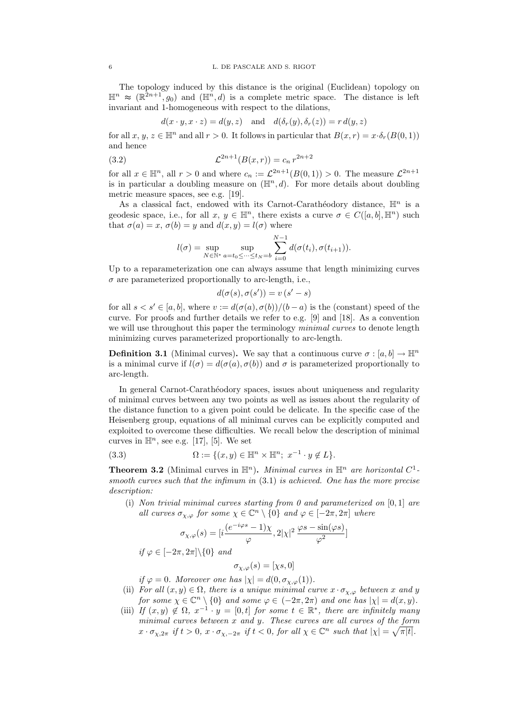The topology induced by this distance is the original (Euclidean) topology on  $\mathbb{H}^n \approx (\mathbb{R}^{2n+1}, g_0)$  and  $(\mathbb{H}^n, d)$  is a complete metric space. The distance is left invariant and 1-homogeneous with respect to the dilations,

$$
d(x \cdot y, x \cdot z) = d(y, z)
$$
 and  $d(\delta_r(y), \delta_r(z)) = r d(y, z)$ 

for all  $x, y, z \in \mathbb{H}^n$  and all  $r > 0$ . It follows in particular that  $B(x, r) = x \cdot \delta_r(B(0, 1))$ and hence

(3.2) 
$$
\mathcal{L}^{2n+1}(B(x,r)) = c_n r^{2n+2}
$$

for all  $x \in \mathbb{H}^n$ , all  $r > 0$  and where  $c_n := \mathcal{L}^{2n+1}(B(0,1)) > 0$ . The measure  $\mathcal{L}^{2n+1}$ is in particular a doubling measure on  $(\mathbb{H}^n, d)$ . For more details about doubling metric measure spaces, see e.g. [19].

As a classical fact, endowed with its Carnot-Carathéodory distance,  $\mathbb{H}^n$  is a geodesic space, i.e., for all  $x, y \in \mathbb{H}^n$ , there exists a curve  $\sigma \in C([a, b], \mathbb{H}^n)$  such that  $\sigma(a) = x$ ,  $\sigma(b) = y$  and  $d(x, y) = l(\sigma)$  where

$$
l(\sigma) = \sup_{N \in \mathbb{N}^*} \sup_{a = t_0 \leq \dots \leq t_N = b} \sum_{i=0}^{N-1} d(\sigma(t_i), \sigma(t_{i+1})).
$$

Up to a reparameterization one can always assume that length minimizing curves  $\sigma$  are parameterized proportionally to arc-length, i.e.,

$$
d(\sigma(s), \sigma(s')) = v (s' - s)
$$

for all  $s < s' \in [a, b]$ , where  $v := d(\sigma(a), \sigma(b))/(b - a)$  is the (constant) speed of the curve. For proofs and further details we refer to e.g. [9] and [18]. As a convention we will use throughout this paper the terminology minimal curves to denote length minimizing curves parameterized proportionally to arc-length.

**Definition 3.1** (Minimal curves). We say that a continuous curve  $\sigma : [a, b] \to \mathbb{H}^n$ is a minimal curve if  $l(\sigma) = d(\sigma(a), \sigma(b))$  and  $\sigma$  is parameterized proportionally to arc-length.

In general Carnot-Carathéodory spaces, issues about uniqueness and regularity of minimal curves between any two points as well as issues about the regularity of the distance function to a given point could be delicate. In the specific case of the Heisenberg group, equations of all minimal curves can be explicitly computed and exploited to overcome these difficulties. We recall below the description of minimal curves in  $\mathbb{H}^n$ , see e.g. [17], [5]. We set

$$
(3.3) \qquad \qquad \Omega := \{ (x, y) \in \mathbb{H}^n \times \mathbb{H}^n; \ x^{-1} \cdot y \notin L \}.
$$

**Theorem 3.2** (Minimal curves in  $\mathbb{H}^n$ ). *Minimal curves in*  $\mathbb{H}^n$  are horizontal  $C^1$ smooth curves such that the infimum in  $(3.1)$  is achieved. One has the more precise description:

(i) Non trivial minimal curves starting from 0 and parameterized on  $[0, 1]$  are all curves  $\sigma_{\chi,\varphi}$  for some  $\chi \in \mathbb{C}^n \setminus \{0\}$  and  $\varphi \in [-2\pi,2\pi]$  where

$$
\sigma_{\chi,\varphi}(s) = [i\frac{(e^{-i\varphi s}-1)\chi}{\varphi},2|\chi|^2\,\frac{\varphi s-\sin(\varphi s)}{\varphi^2}]
$$

$$
if \varphi \in [-2\pi, 2\pi] \backslash \{0\} \ and
$$

$$
\sigma_{\chi,\varphi}(s)=[\chi s,0]
$$

if  $\varphi = 0$ . Moreover one has  $|\chi| = d(0, \sigma_{\chi, \varphi}(1)).$ 

- (ii) For all  $(x, y) \in \Omega$ , there is a unique minimal curve  $x \cdot \sigma_{\chi, \varphi}$  between x and y for some  $\chi \in \mathbb{C}^n \setminus \{0\}$  and some  $\varphi \in (-2\pi, 2\pi)$  and one has  $|\chi| = d(x, y)$ .
- (iii) If  $(x, y) \notin \Omega$ ,  $x^{-1} \cdot y = [0, t]$  for some  $t \in \mathbb{R}^*$ , there are infinitely many minimal curves between x and y. These curves are all curves of the form  $x \cdot \sigma_{\chi,2\pi}$  if  $t > 0$ ,  $x \cdot \sigma_{\chi,-2\pi}$  if  $t < 0$ , for all  $\chi \in \mathbb{C}^n$  such that  $|\chi| = \sqrt{\pi|t|}$ .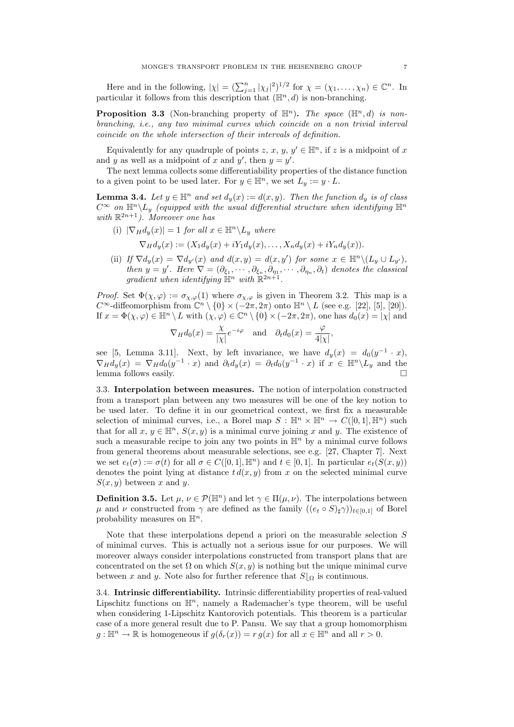Here and in the following,  $|\chi| = (\sum_{j=1}^n |\chi_j|^2)^{1/2}$  for  $\chi = (\chi_1, \ldots, \chi_n) \in \mathbb{C}^n$ . In particular it follows from this description that  $(\mathbb{H}^n, d)$  is non-branching.

**Proposition 3.3** (Non-branching property of  $\mathbb{H}^n$ ). The space ( $\mathbb{H}^n$ , d) is nonbranching, i.e., any two minimal curves which coincide on a non trivial interval coincide on the whole intersection of their intervals of definition.

Equivalently for any quadruple of points  $z, x, y, y' \in \mathbb{H}^n$ , if z is a midpoint of x and y as well as a midpoint of x and y', then  $y = y'$ .

The next lemma collects some differentiability properties of the distance function to a given point to be used later. For  $y \in \mathbb{H}^n$ , we set  $L_y := y \cdot L$ .

**Lemma 3.4.** Let  $y \in \mathbb{H}^n$  and set  $d_y(x) := d(x, y)$ . Then the function  $d_y$  is of class  $C^{\infty}$  on  $\mathbb{H}^n \backslash L_y$  (equipped with the usual differential structure when identifying  $\mathbb{H}^n$ with  $\mathbb{R}^{2n+1}$ ). Moreover one has

- (i)  $|\nabla_H d_u(x)| = 1$  for all  $x \in \mathbb{H}^n \backslash L_u$  where  $\nabla_H d_u(x) := (X_1 d_y(x) + iY_1 d_y(x), \dots, X_n d_y(x) + iY_n d_y(x)).$
- (ii) If  $\nabla d_y(x) = \nabla d_{y'}(x)$  and  $d(x, y) = d(x, y')$  for some  $x \in \mathbb{H}^n \setminus (L_y \cup L_{y'})$ , then  $y = y'$ . Here  $\nabla = (\partial_{\xi_1}, \cdots, \partial_{\xi_n}, \partial_{\eta_1}, \cdots, \partial_{\eta_n}, \partial_t)$  denotes the classical gradient when identifying  $\mathbb{H}^n$  with  $\mathbb{R}^{2n+1}$ .

*Proof.* Set  $\Phi(\chi, \varphi) := \sigma_{\chi, \varphi}(1)$  where  $\sigma_{\chi, \varphi}$  is given in Theorem 3.2. This map is a  $C^{\infty}$ -diffeomorphism from  $\mathbb{C}^n \setminus \{0\} \times (-2\pi, 2\pi)$  onto  $\mathbb{H}^n \setminus L$  (see e.g. [22], [5], [20]). If  $x = \Phi(\chi, \varphi) \in \mathbb{H}^n \setminus L$  with  $(\chi, \varphi) \in \mathbb{C}^n \setminus \{0\} \times (-2\pi, 2\pi)$ , one has  $d_0(x) = |\chi|$  and

$$
\nabla_H d_0(x) = \frac{\chi}{|\chi|} e^{-i\varphi}
$$
 and  $\partial_t d_0(x) = \frac{\varphi}{4|\chi|}$ ,

see [5, Lemma 3.11]. Next, by left invariance, we have  $d_y(x) = d_0(y^{-1} \cdot x)$ ,  $\nabla_H d_y(x) = \nabla_H d_0(y^{-1} \cdot x)$  and  $\partial_t d_y(x) = \partial_t d_0(y^{-1} \cdot x)$  if  $x \in \mathbb{H}^n \setminus L_y$  and the lemma follows easily.

3.3. Interpolation between measures. The notion of interpolation constructed from a transport plan between any two measures will be one of the key notion to be used later. To define it in our geometrical context, we first fix a measurable selection of minimal curves, i.e., a Borel map  $S : \mathbb{H}^n \times \mathbb{H}^n \to C([0,1], \mathbb{H}^n)$  such that for all  $x, y \in \mathbb{H}^n$ ,  $S(x, y)$  is a minimal curve joining x and y. The existence of such a measurable recipe to join any two points in  $\mathbb{H}^n$  by a minimal curve follows from general theorems about measurable selections, see e.g. [27, Chapter 7]. Next we set  $e_t(\sigma) := \sigma(t)$  for all  $\sigma \in C([0, 1], \mathbb{H}^n)$  and  $t \in [0, 1]$ . In particular  $e_t(S(x, y))$ denotes the point lying at distance  $t d(x, y)$  from x on the selected minimal curve  $S(x, y)$  between x and y.

**Definition 3.5.** Let  $\mu, \nu \in \mathcal{P}(\mathbb{H}^n)$  and let  $\gamma \in \Pi(\mu, \nu)$ . The interpolations between  $\mu$  and  $\nu$  constructed from  $\gamma$  are defined as the family  $((e_t \circ S)_\sharp \gamma))_{t\in[0,1]}$  of Borel probability measures on  $\mathbb{H}^n$ .

Note that these interpolations depend a priori on the measurable selection S of minimal curves. This is actually not a serious issue for our purposes. We will moreover always consider interpolations constructed from transport plans that are concentrated on the set  $\Omega$  on which  $S(x, y)$  is nothing but the unique minimal curve between x and y. Note also for further reference that  $S|_{\Omega}$  is continuous.

3.4. Intrinsic differentiability. Intrinsic differentiability properties of real-valued Lipschitz functions on  $\mathbb{H}^n$ , namely a Rademacher's type theorem, will be useful when considering 1-Lipschitz Kantorovich potentials. This theorem is a particular case of a more general result due to P. Pansu. We say that a group homomorphism  $g: \mathbb{H}^n \to \mathbb{R}$  is homogeneous if  $g(\delta_r(x)) = r g(x)$  for all  $x \in \mathbb{H}^n$  and all  $r > 0$ .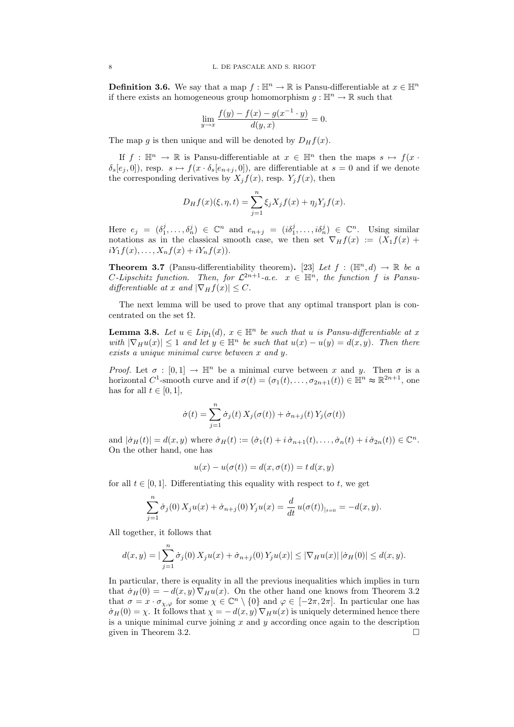**Definition 3.6.** We say that a map  $f : \mathbb{H}^n \to \mathbb{R}$  is Pansu-differentiable at  $x \in \mathbb{H}^n$ if there exists an homogeneous group homomorphism  $g : \mathbb{H}^n \to \mathbb{R}$  such that

$$
\lim_{y \to x} \frac{f(y) - f(x) - g(x^{-1} \cdot y)}{d(y, x)} = 0.
$$

The map q is then unique and will be denoted by  $D_H f(x)$ .

If  $f : \mathbb{H}^n \to \mathbb{R}$  is Pansu-differentiable at  $x \in \mathbb{H}^n$  then the maps  $s \mapsto f(x \cdot \mathbb{H}^n)$  $\delta_s[e_j, 0]$ , resp.  $s \mapsto f(x \cdot \delta_s[e_{n+j}, 0])$ , are differentiable at  $s = 0$  and if we denote the corresponding derivatives by  $X_j f(x)$ , resp.  $Y_j f(x)$ , then

$$
D_H f(x)(\xi, \eta, t) = \sum_{j=1}^n \xi_j X_j f(x) + \eta_j Y_j f(x).
$$

Here  $e_j = (\delta_1^j, \ldots, \delta_n^j) \in \mathbb{C}^n$  and  $e_{n+j} = (i\delta_1^j, \ldots, i\delta_n^j) \in \mathbb{C}^n$ . Using similar notations as in the classical smooth case, we then set  $\nabla_H f(x) := (X_1 f(x) +$  $iY_1f(x), \ldots, X_nf(x) + iY_nf(x)$ .

**Theorem 3.7** (Pansu-differentiability theorem). [23] Let  $f : (\mathbb{H}^n, d) \to \mathbb{R}$  be a C-Lipschitz function. Then, for  $\mathcal{L}^{2n+1}$ -a.e.  $x \in \mathbb{H}^n$ , the function f is Pansudifferentiable at x and  $|\nabla_H f(x)| \leq C$ .

The next lemma will be used to prove that any optimal transport plan is concentrated on the set  $\Omega$ .

**Lemma 3.8.** Let  $u \in Lip_1(d)$ ,  $x \in \mathbb{H}^n$  be such that u is Pansu-differentiable at x with  $|\nabla_H u(x)| \leq 1$  and let  $y \in \mathbb{H}^n$  be such that  $u(x) - u(y) = d(x, y)$ . Then there exists a unique minimal curve between x and y.

*Proof.* Let  $\sigma : [0,1] \to \mathbb{H}^n$  be a minimal curve between x and y. Then  $\sigma$  is a horizontal C<sup>1</sup>-smooth curve and if  $\sigma(t) = (\sigma_1(t), \ldots, \sigma_{2n+1}(t)) \in \mathbb{H}^n \approx \mathbb{R}^{2n+1}$ , one has for all  $t \in [0, 1]$ ,

$$
\dot{\sigma}(t) = \sum_{j=1}^{n} \dot{\sigma}_j(t) X_j(\sigma(t)) + \dot{\sigma}_{n+j}(t) Y_j(\sigma(t))
$$

and  $|\dot{\sigma}_H(t)| = d(x, y)$  where  $\dot{\sigma}_H(t) := (\dot{\sigma}_1(t) + i \dot{\sigma}_{n+1}(t), \dots, \dot{\sigma}_n(t) + i \dot{\sigma}_{2n}(t)) \in \mathbb{C}^n$ . On the other hand, one has

$$
u(x) - u(\sigma(t)) = d(x, \sigma(t)) = t d(x, y)
$$

for all  $t \in [0, 1]$ . Differentiating this equality with respect to t, we get

$$
\sum_{j=1}^{n} \dot{\sigma}_j(0) X_j u(x) + \dot{\sigma}_{n+j}(0) Y_j u(x) = \frac{d}{dt} u(\sigma(t))_{|_{t=0}} = -d(x, y).
$$

All together, it follows that

$$
d(x,y) = |\sum_{j=1}^{n} \dot{\sigma}_j(0) X_j u(x) + \dot{\sigma}_{n+j}(0) Y_j u(x)| \le |\nabla_H u(x)| |\dot{\sigma}_H(0)| \le d(x,y).
$$

In particular, there is equality in all the previous inequalities which implies in turn that  $\dot{\sigma}_H(0) = -d(x, y) \nabla_H u(x)$ . On the other hand one knows from Theorem 3.2 that  $\sigma = x \cdot \sigma_{\chi,\varphi}$  for some  $\chi \in \mathbb{C}^n \setminus \{0\}$  and  $\varphi \in [-2\pi,2\pi]$ . In particular one has  $\dot{\sigma}_H(0) = \chi$ . It follows that  $\chi = -d(x, y) \nabla_H u(x)$  is uniquely determined hence there is a unique minimal curve joining  $x$  and  $y$  according once again to the description given in Theorem 3.2.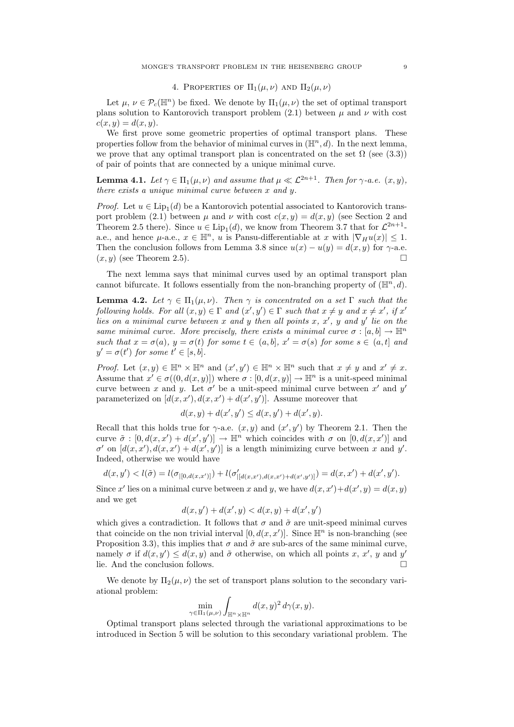## 4. PROPERTIES OF  $\Pi_1(\mu,\nu)$  AND  $\Pi_2(\mu,\nu)$

Let  $\mu, \nu \in \mathcal{P}_c(\mathbb{H}^n)$  be fixed. We denote by  $\Pi_1(\mu, \nu)$  the set of optimal transport plans solution to Kantorovich transport problem (2.1) between  $\mu$  and  $\nu$  with cost  $c(x, y) = d(x, y).$ 

We first prove some geometric properties of optimal transport plans. These properties follow from the behavior of minimal curves in  $(\mathbb{H}^n, d)$ . In the next lemma, we prove that any optimal transport plan is concentrated on the set  $\Omega$  (see (3.3)) of pair of points that are connected by a unique minimal curve.

**Lemma 4.1.** Let  $\gamma \in \Pi_1(\mu, \nu)$  and assume that  $\mu \ll L^{2n+1}$ . Then for  $\gamma$ -a.e.  $(x, y)$ , there exists a unique minimal curve between x and y.

*Proof.* Let  $u \in \text{Lip}_1(d)$  be a Kantorovich potential associated to Kantorovich transport problem (2.1) between  $\mu$  and  $\nu$  with cost  $c(x, y) = d(x, y)$  (see Section 2 and Theorem 2.5 there). Since  $u \in \text{Lip}_1(d)$ , we know from Theorem 3.7 that for  $\mathcal{L}^{2n+1}$ a.e., and hence  $\mu$ -a.e.,  $x \in \mathbb{H}^n$ , u is Pansu-differentiable at x with  $|\nabla_H u(x)| \leq 1$ . Then the conclusion follows from Lemma 3.8 since  $u(x) - u(y) = d(x, y)$  for  $\gamma$ -a.e.  $(x, y)$  (see Theorem 2.5).

The next lemma says that minimal curves used by an optimal transport plan cannot bifurcate. It follows essentially from the non-branching property of  $(\mathbb{H}^n, d)$ .

**Lemma 4.2.** Let  $\gamma \in \Pi_1(\mu, \nu)$ . Then  $\gamma$  is concentrated on a set  $\Gamma$  such that the following holds. For all  $(x, y) \in \Gamma$  and  $(x', y') \in \Gamma$  such that  $x \neq y$  and  $x \neq x'$ , if  $x'$ lies on a minimal curve between x and y then all points x, x', y and y' lie on the same minimal curve. More precisely, there exists a minimal curve  $\sigma : [a, b] \to \mathbb{H}^n$ such that  $x = \sigma(a)$ ,  $y = \sigma(t)$  for some  $t \in (a, b]$ ,  $x' = \sigma(s)$  for some  $s \in (a, t]$  and  $y' = \sigma(t')$  for some  $t' \in [s, b]$ .

*Proof.* Let  $(x, y) \in \mathbb{H}^n \times \mathbb{H}^n$  and  $(x', y') \in \mathbb{H}^n \times \mathbb{H}^n$  such that  $x \neq y$  and  $x' \neq x$ . Assume that  $x' \in \sigma((0, d(x, y)])$  where  $\sigma : [0, d(x, y)] \to \mathbb{H}^n$  is a unit-speed minimal curve between x and y. Let  $\sigma'$  be a unit-speed minimal curve between x' and y' parameterized on  $[d(x, x'), d(x, x') + d(x', y')]$ . Assume moreover that

$$
d(x, y) + d(x', y') \le d(x, y') + d(x', y).
$$

Recall that this holds true for  $\gamma$ -a.e.  $(x, y)$  and  $(x', y')$  by Theorem 2.1. Then the curve  $\tilde{\sigma} : [0, d(x, x') + d(x', y')] \to \mathbb{H}^n$  which coincides with  $\sigma$  on  $[0, d(x, x')]$  and  $\sigma'$  on  $[d(x, x'), d(x, x') + d(x', y')]$  is a length minimizing curve between x and y'. Indeed, otherwise we would have

$$
d(x,y') < l(\tilde{\sigma}) = l(\sigma_{|[0,d(x,x')]}) + l(\sigma'_{|[d(x,x'),d(x,x')+d(x',y')]}) = d(x,x') + d(x',y').
$$

Since x' lies on a minimal curve between x and y, we have  $d(x, x') + d(x', y) = d(x, y)$ and we get

$$
d(x, y') + d(x', y) < d(x, y) + d(x', y')
$$

which gives a contradiction. It follows that  $\sigma$  and  $\tilde{\sigma}$  are unit-speed minimal curves that coincide on the non trivial interval  $[0, d(x, x')]$ . Since  $\mathbb{H}^n$  is non-branching (see Proposition 3.3), this implies that  $\sigma$  and  $\tilde{\sigma}$  are sub-arcs of the same minimal curve, namely  $\sigma$  if  $d(x, y') \leq d(x, y)$  and  $\tilde{\sigma}$  otherwise, on which all points x, x', y and y' lie. And the conclusion follows.

We denote by  $\Pi_2(\mu, \nu)$  the set of transport plans solution to the secondary variational problem:

$$
\min_{\gamma \in \Pi_1(\mu,\nu)} \int_{\mathbb{H}^n \times \mathbb{H}^n} d(x,y)^2 \, d\gamma(x,y).
$$

Optimal transport plans selected through the variational approximations to be introduced in Section 5 will be solution to this secondary variational problem. The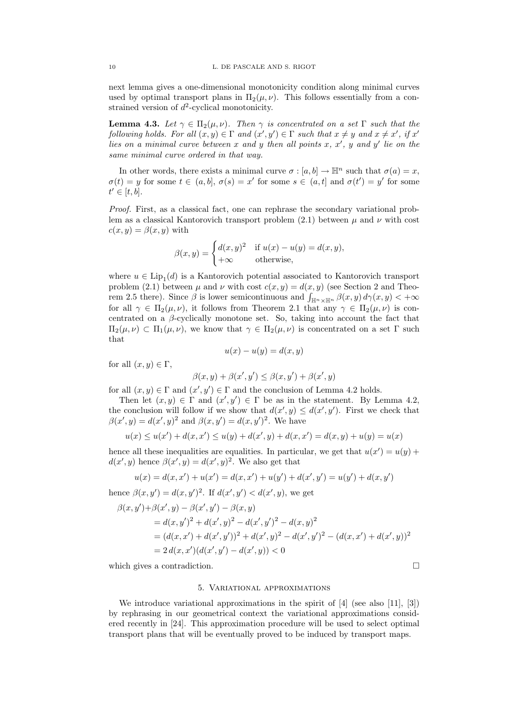next lemma gives a one-dimensional monotonicity condition along minimal curves used by optimal transport plans in  $\Pi_2(\mu, \nu)$ . This follows essentially from a constrained version of  $d^2$ -cyclical monotonicity.

**Lemma 4.3.** Let  $\gamma \in \Pi_2(\mu, \nu)$ . Then  $\gamma$  is concentrated on a set  $\Gamma$  such that the following holds. For all  $(x, y) \in \Gamma$  and  $(x', y') \in \Gamma$  such that  $x \neq y$  and  $x \neq x'$ , if  $x'$ lies on a minimal curve between x and y then all points x,  $x'$ , y and y' lie on the same minimal curve ordered in that way.

In other words, there exists a minimal curve  $\sigma : [a, b] \to \mathbb{H}^n$  such that  $\sigma(a) = x$ ,  $\sigma(t) = y$  for some  $t \in (a, b], \sigma(s) = x'$  for some  $s \in (a, t]$  and  $\sigma(t') = y'$  for some  $t' \in [t, b].$ 

Proof. First, as a classical fact, one can rephrase the secondary variational problem as a classical Kantorovich transport problem (2.1) between  $\mu$  and  $\nu$  with cost  $c(x, y) = \beta(x, y)$  with

$$
\beta(x, y) = \begin{cases} d(x, y)^2 & \text{if } u(x) - u(y) = d(x, y), \\ +\infty & \text{otherwise,} \end{cases}
$$

where  $u \in \text{Lip}_1(d)$  is a Kantorovich potential associated to Kantorovich transport problem (2.1) between  $\mu$  and  $\nu$  with cost  $c(x, y) = d(x, y)$  (see Section 2 and Theorem 2.5 there). Since  $\beta$  is lower semicontinuous and  $\int_{\mathbb{H}^n \times \mathbb{H}^n} \beta(x, y) d\gamma(x, y) < +\infty$ for all  $\gamma \in \Pi_2(\mu, \nu)$ , it follows from Theorem 2.1 that any  $\gamma \in \Pi_2(\mu, \nu)$  is concentrated on a  $\beta$ -cyclically monotone set. So, taking into account the fact that  $\Pi_2(\mu, \nu) \subset \Pi_1(\mu, \nu)$ , we know that  $\gamma \in \Pi_2(\mu, \nu)$  is concentrated on a set  $\Gamma$  such that

$$
u(x) - u(y) = d(x, y)
$$

for all  $(x, y) \in \Gamma$ ,

$$
\beta(x, y) + \beta(x', y') \le \beta(x, y') + \beta(x', y)
$$

for all  $(x, y) \in \Gamma$  and  $(x', y') \in \Gamma$  and the conclusion of Lemma 4.2 holds.

Then let  $(x, y) \in \Gamma$  and  $(x', y') \in \Gamma$  be as in the statement. By Lemma 4.2, the conclusion will follow if we show that  $d(x', y) \leq d(x', y')$ . First we check that  $\beta(x', y) = d(x', y)^2$  and  $\beta(x, y') = d(x, y')^2$ . We have

$$
u(x) \le u(x') + d(x, x') \le u(y) + d(x', y) + d(x, x') = d(x, y) + u(y) = u(x)
$$

hence all these inequalities are equalities. In particular, we get that  $u(x') = u(y) +$  $d(x', y)$  hence  $\beta(x', y) = d(x', y)^2$ . We also get that

$$
u(x) = d(x, x') + u(x') = d(x, x') + u(y') + d(x', y') = u(y') + d(x, y')
$$

hence  $\beta(x, y') = d(x, y')^2$ . If  $d(x', y') < d(x', y)$ , we get

$$
\beta(x, y') + \beta(x', y) - \beta(x', y') - \beta(x, y)
$$
  
=  $d(x, y')^{2} + d(x', y)^{2} - d(x', y')^{2} - d(x, y)^{2}$   
=  $(d(x, x') + d(x', y'))^{2} + d(x', y)^{2} - d(x', y')^{2} - (d(x, x') + d(x', y))^{2}$   
=  $2 d(x, x')(d(x', y') - d(x', y)) < 0$ 

which gives a contradiction.

# 5. Variational approximations

We introduce variational approximations in the spirit of [4] (see also [11], [3]) by rephrasing in our geometrical context the variational approximations considered recently in [24]. This approximation procedure will be used to select optimal transport plans that will be eventually proved to be induced by transport maps.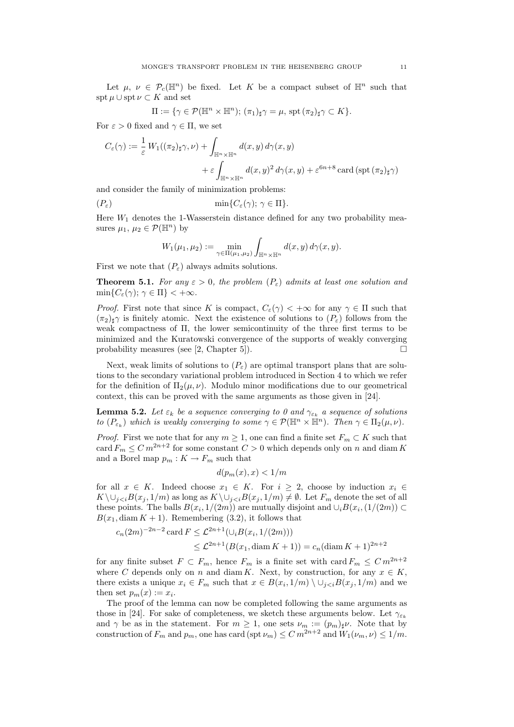Let  $\mu, \nu \in \mathcal{P}_c(\mathbb{H}^n)$  be fixed. Let K be a compact subset of  $\mathbb{H}^n$  such that  $\operatorname{spt} \mu \cup \operatorname{spt} \nu \subset K$  and set

$$
\Pi := \{ \gamma \in \mathcal{P}(\mathbb{H}^n \times \mathbb{H}^n); (\pi_1)_{\sharp} \gamma = \mu, \text{ spt } (\pi_2)_{\sharp} \gamma \subset K \}.
$$

For  $\varepsilon > 0$  fixed and  $\gamma \in \Pi$ , we set

$$
C_{\varepsilon}(\gamma) := \frac{1}{\varepsilon} W_1((\pi_2)_{\sharp}\gamma, \nu) + \int_{\mathbb{H}^n \times \mathbb{H}^n} d(x, y) d\gamma(x, y)
$$

$$
+ \varepsilon \int_{\mathbb{H}^n \times \mathbb{H}^n} d(x, y)^2 d\gamma(x, y) + \varepsilon^{6n+8} \operatorname{card} (\operatorname{spt} (\pi_2)_{\sharp}\gamma)
$$

and consider the family of minimization problems:

$$
(P_{\varepsilon}) \qquad \qquad \min\{C_{\varepsilon}(\gamma); \gamma \in \Pi\}.
$$

Here  $W_1$  denotes the 1-Wasserstein distance defined for any two probability measures  $\mu_1, \mu_2 \in \mathcal{P}(\mathbb{H}^n)$  by

$$
W_1(\mu_1, \mu_2) := \min_{\gamma \in \Pi(\mu_1, \mu_2)} \int_{\mathbb{H}^n \times \mathbb{H}^n} d(x, y) d\gamma(x, y).
$$

First we note that  $(P_{\varepsilon})$  always admits solutions.

**Theorem 5.1.** For any  $\varepsilon > 0$ , the problem  $(P_{\varepsilon})$  admits at least one solution and  $\min\{C_{\varepsilon}(\gamma); \gamma \in \Pi\} < +\infty.$ 

*Proof.* First note that since K is compact,  $C_{\varepsilon}(\gamma) < +\infty$  for any  $\gamma \in \Pi$  such that  $(\pi_2)_{\sharp}$ γ is finitely atomic. Next the existence of solutions to  $(P_{\varepsilon})$  follows from the weak compactness of Π, the lower semicontinuity of the three first terms to be minimized and the Kuratowski convergence of the supports of weakly converging probability measures (see [2, Chapter 5]).  $\square$ 

Next, weak limits of solutions to  $(P_{\varepsilon})$  are optimal transport plans that are solutions to the secondary variational problem introduced in Section 4 to which we refer for the definition of  $\Pi_2(\mu, \nu)$ . Modulo minor modifications due to our geometrical context, this can be proved with the same arguments as those given in [24].

**Lemma 5.2.** Let  $\varepsilon_k$  be a sequence converging to 0 and  $\gamma_{\varepsilon_k}$  a sequence of solutions to  $(P_{\varepsilon_k})$  which is weakly converging to some  $\gamma \in \mathcal{P}(\mathbb{H}^n \times \mathbb{H}^n)$ . Then  $\gamma \in \Pi_2(\mu, \nu)$ .

*Proof.* First we note that for any  $m \geq 1$ , one can find a finite set  $F_m \subset K$  such that card  $F_m \n\leq C m^{2n+2}$  for some constant  $C > 0$  which depends only on n and diam K and a Borel map  $p_m: K \to F_m$  such that

$$
d(p_m(x),x) < 1/m
$$

for all  $x \in K$ . Indeed choose  $x_1 \in K$ . For  $i \geq 2$ , choose by induction  $x_i \in$  $K \setminus \bigcup_{i \leq i} B(x_i, 1/m)$  as long as  $K \setminus \bigcup_{i \leq i} B(x_i, 1/m) \neq \emptyset$ . Let  $F_m$  denote the set of all these points. The balls  $B(x_i, 1/(2m))$  are mutually disjoint and  $\cup_i B(x_i, 1/(2m)) \subset$  $B(x_1, \text{diam } K + 1)$ . Remembering (3.2), it follows that

$$
c_n(2m)^{-2n-2} \operatorname{card} F \leq \mathcal{L}^{2n+1}(\cup_i B(x_i, 1/(2m)))
$$
  
 
$$
\leq \mathcal{L}^{2n+1}(B(x_1, \operatorname{diam} K + 1)) = c_n(\operatorname{diam} K + 1)^{2n+2}
$$

for any finite subset  $F \subset F_m$ , hence  $F_m$  is a finite set with card  $F_m \leq C m^{2n+2}$ where C depends only on n and diam K. Next, by construction, for any  $x \in K$ , there exists a unique  $x_i \in F_m$  such that  $x \in B(x_i, 1/m) \setminus \cup_{j \leq i} B(x_j, 1/m)$  and we then set  $p_m(x) := x_i$ .

The proof of the lemma can now be completed following the same arguments as those in [24]. For sake of completeness, we sketch these arguments below. Let  $\gamma_{\varepsilon_k}$ and  $\gamma$  be as in the statement. For  $m \geq 1$ , one sets  $\nu_m := (p_m)_{\sharp} \nu$ . Note that by construction of  $F_m$  and  $p_m$ , one has card (spt  $\nu_m$ )  $\leq C m^{2n+2}$  and  $W_1(\nu_m, \nu) \leq 1/m$ .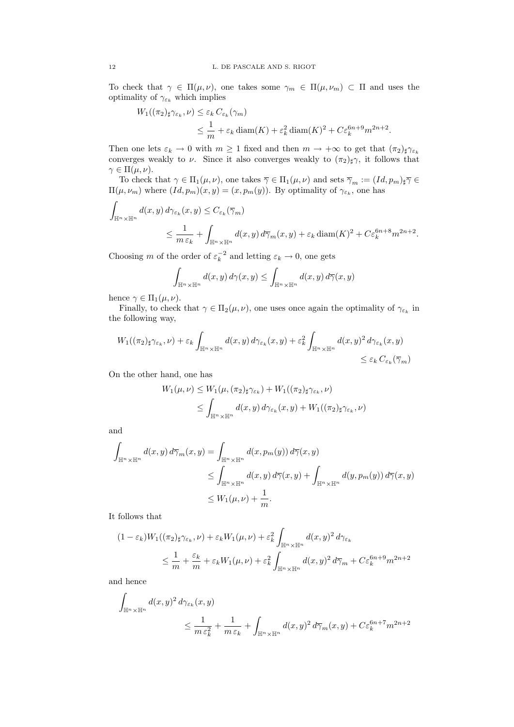To check that  $\gamma \in \Pi(\mu, \nu)$ , one takes some  $\gamma_m \in \Pi(\mu, \nu_m) \subset \Pi$  and uses the optimality of  $\gamma_{\varepsilon_k}$  which implies

$$
W_1((\pi_2)_{\sharp}\gamma_{\varepsilon_k}, \nu) \leq \varepsilon_k C_{\varepsilon_k}(\gamma_m)
$$
  

$$
\leq \frac{1}{m} + \varepsilon_k \operatorname{diam}(K) + \varepsilon_k^2 \operatorname{diam}(K)^2 + C\varepsilon_k^{6n+9} m^{2n+2}.
$$

Then one lets  $\varepsilon_k \to 0$  with  $m \ge 1$  fixed and then  $m \to +\infty$  to get that  $(\pi_2)_{\sharp} \gamma_{\varepsilon_k}$ converges weakly to  $\nu$ . Since it also converges weakly to  $(\pi_2)_{\sharp}\gamma$ , it follows that  $\gamma \in \Pi(\mu, \nu).$ 

To check that  $\gamma \in \Pi_1(\mu, \nu)$ , one takes  $\overline{\gamma} \in \Pi_1(\mu, \nu)$  and sets  $\overline{\gamma}_m := (Id, p_m)_{\sharp} \overline{\gamma} \in$  $\Pi(\mu, \nu_m)$  where  $(Id, p_m)(x, y) = (x, p_m(y))$ . By optimality of  $\gamma_{\varepsilon_k}$ , one has

$$
\int_{\mathbb{H}^n \times \mathbb{H}^n} d(x, y) d\gamma_{\varepsilon_k}(x, y) \le C_{\varepsilon_k}(\overline{\gamma}_m)
$$
\n
$$
\le \frac{1}{m \varepsilon_k} + \int_{\mathbb{H}^n \times \mathbb{H}^n} d(x, y) d\overline{\gamma}_m(x, y) + \varepsilon_k \operatorname{diam}(K)^2 + C \varepsilon_k^{6n+8} m^{2n+2}.
$$

Choosing m of the order of  $\varepsilon_k^{-2}$  and letting  $\varepsilon_k \to 0$ , one gets

$$
\int_{\mathbb{H}^n \times \mathbb{H}^n} d(x, y) d\gamma(x, y) \le \int_{\mathbb{H}^n \times \mathbb{H}^n} d(x, y) d\overline{\gamma}(x, y)
$$

hence  $\gamma \in \Pi_1(\mu, \nu)$ .

Finally, to check that  $\gamma \in \Pi_2(\mu, \nu)$ , one uses once again the optimality of  $\gamma_{\varepsilon_k}$  in the following way,

$$
W_1((\pi_2)_{\sharp}\gamma_{\varepsilon_k},\nu) + \varepsilon_k \int_{\mathbb{H}^n \times \mathbb{H}^n} d(x,y) d\gamma_{\varepsilon_k}(x,y) + \varepsilon_k^2 \int_{\mathbb{H}^n \times \mathbb{H}^n} d(x,y)^2 d\gamma_{\varepsilon_k}(x,y) \leq \varepsilon_k C_{\varepsilon_k}(\overline{\gamma}_m)
$$

On the other hand, one has

$$
W_1(\mu, \nu) \le W_1(\mu, (\pi_2)_{\sharp} \gamma_{\varepsilon_k}) + W_1((\pi_2)_{\sharp} \gamma_{\varepsilon_k}, \nu)
$$
  

$$
\le \int_{\mathbb{H}^n \times \mathbb{H}^n} d(x, y) d\gamma_{\varepsilon_k}(x, y) + W_1((\pi_2)_{\sharp} \gamma_{\varepsilon_k}, \nu)
$$

and

$$
\int_{\mathbb{H}^n \times \mathbb{H}^n} d(x, y) d\overline{\gamma}_m(x, y) = \int_{\mathbb{H}^n \times \mathbb{H}^n} d(x, p_m(y)) d\overline{\gamma}(x, y)
$$
\n
$$
\leq \int_{\mathbb{H}^n \times \mathbb{H}^n} d(x, y) d\overline{\gamma}(x, y) + \int_{\mathbb{H}^n \times \mathbb{H}^n} d(y, p_m(y)) d\overline{\gamma}(x, y)
$$
\n
$$
\leq W_1(\mu, \nu) + \frac{1}{m}.
$$

It follows that

$$
(1 - \varepsilon_k)W_1((\pi_2)_{\sharp}\gamma_{\varepsilon_k}, \nu) + \varepsilon_k W_1(\mu, \nu) + \varepsilon_k^2 \int_{\mathbb{H}^n \times \mathbb{H}^n} d(x, y)^2 d\gamma_{\varepsilon_k}
$$
  

$$
\leq \frac{1}{m} + \frac{\varepsilon_k}{m} + \varepsilon_k W_1(\mu, \nu) + \varepsilon_k^2 \int_{\mathbb{H}^n \times \mathbb{H}^n} d(x, y)^2 d\overline{\gamma}_m + C\varepsilon_k^{6n+9} m^{2n+2}
$$

and hence

$$
\int_{\mathbb{H}^n \times \mathbb{H}^n} d(x, y)^2 d\gamma_{\varepsilon_k}(x, y)
$$
\n
$$
\leq \frac{1}{m \varepsilon_k^2} + \frac{1}{m \varepsilon_k} + \int_{\mathbb{H}^n \times \mathbb{H}^n} d(x, y)^2 d\overline{\gamma}_m(x, y) + C \varepsilon_k^{6n+7} m^{2n+2}
$$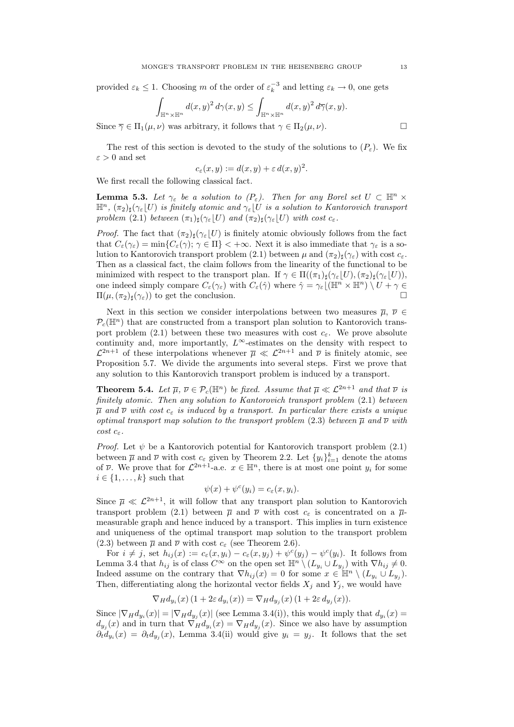provided  $\varepsilon_k \leq 1$ . Choosing m of the order of  $\varepsilon_k^{-3}$  and letting  $\varepsilon_k \to 0$ , one gets

$$
\int_{\mathbb{H}^n \times \mathbb{H}^n} d(x, y)^2 d\gamma(x, y) \le \int_{\mathbb{H}^n \times \mathbb{H}^n} d(x, y)^2 d\overline{\gamma}(x, y).
$$

Since  $\overline{\gamma} \in \Pi_1(\mu, \nu)$  was arbitrary, it follows that  $\gamma \in \Pi_2(\mu, \nu)$ .

The rest of this section is devoted to the study of the solutions to  $(P_{\varepsilon})$ . We fix  $\varepsilon > 0$  and set

$$
c_{\varepsilon}(x,y) := d(x,y) + \varepsilon d(x,y)^2.
$$

We first recall the following classical fact.

**Lemma 5.3.** Let  $\gamma_{\varepsilon}$  be a solution to  $(P_{\varepsilon})$ . Then for any Borel set  $U \subset \mathbb{H}^n \times$  $\mathbb{H}^n$ ,  $(\pi_2)_{\sharp}(\gamma_{\varepsilon}|U)$  is finitely atomic and  $\gamma_{\varepsilon}|U$  is a solution to Kantorovich transport problem (2.1) between  $(\pi_1)_\sharp(\gamma_\varepsilon|U)$  and  $(\pi_2)_\sharp(\gamma_\varepsilon|U)$  with cost  $c_\varepsilon$ .

*Proof.* The fact that  $(\pi_2)_{\sharp}(\gamma_{\varepsilon}|U)$  is finitely atomic obviously follows from the fact that  $C_{\varepsilon}(\gamma_{\varepsilon}) = \min\{C_{\varepsilon}(\gamma); \gamma \in \Pi\} < +\infty$ . Next it is also immediate that  $\gamma_{\varepsilon}$  is a solution to Kantorovich transport problem (2.1) between  $\mu$  and  $(\pi_2)_{\sharp}(\gamma_{\varepsilon})$  with cost  $c_{\varepsilon}$ . Then as a classical fact, the claim follows from the linearity of the functional to be minimized with respect to the transport plan. If  $\gamma \in \Pi((\pi_1)_\sharp(\gamma_\varepsilon|U),(\pi_2)_\sharp(\gamma_\varepsilon|U)),$ one indeed simply compare  $C_{\varepsilon}(\gamma_{\varepsilon})$  with  $C_{\varepsilon}(\hat{\gamma})$  where  $\hat{\gamma} = \gamma_{\varepsilon}[(\mathbb{H}^{n} \times \mathbb{H}^{n}) \setminus U + \gamma \in$  $\Pi(\mu, (\pi_2)_{\sharp}(\gamma_{\varepsilon}))$  to get the conclusion.

Next in this section we consider interpolations between two measures  $\overline{\mu}$ ,  $\overline{\nu} \in$  $\mathcal{P}_c(\mathbb{H}^n)$  that are constructed from a transport plan solution to Kantorovich transport problem (2.1) between these two measures with cost  $c_{\varepsilon}$ . We prove absolute continuity and, more importantly,  $L^{\infty}$ -estimates on the density with respect to  $\mathcal{L}^{2n+1}$  of these interpolations whenever  $\bar{\mu} \ll \mathcal{L}^{2n+1}$  and  $\bar{\nu}$  is finitely atomic, see Proposition 5.7. We divide the arguments into several steps. First we prove that any solution to this Kantorovich transport problem is induced by a transport.

**Theorem 5.4.** Let  $\overline{\mu}$ ,  $\overline{\nu} \in \mathcal{P}_c(\mathbb{H}^n)$  be fixed. Assume that  $\overline{\mu} \ll \mathcal{L}^{2n+1}$  and that  $\overline{\nu}$  is finitely atomic. Then any solution to Kantorovich transport problem (2.1) between  $\overline{\mu}$  and  $\overline{\nu}$  with cost  $c_{\varepsilon}$  is induced by a transport. In particular there exists a unique optimal transport map solution to the transport problem (2.3) between  $\overline{\mu}$  and  $\overline{\nu}$  with cost  $c_{\varepsilon}$ .

*Proof.* Let  $\psi$  be a Kantorovich potential for Kantorovich transport problem (2.1) between  $\overline{\mu}$  and  $\overline{\nu}$  with cost  $c_{\varepsilon}$  given by Theorem 2.2. Let  $\{y_i\}_{i=1}^k$  denote the atoms of  $\overline{\nu}$ . We prove that for  $\mathcal{L}^{2n+1}$ -a.e.  $x \in \mathbb{H}^n$ , there is at most one point  $y_i$  for some  $i \in \{1, \ldots, k\}$  such that

$$
\psi(x) + \psi^{c}(y_i) = c_{\varepsilon}(x, y_i).
$$

Since  $\overline{\mu} \ll L^{2n+1}$ , it will follow that any transport plan solution to Kantorovich transport problem (2.1) between  $\overline{\mu}$  and  $\overline{\nu}$  with cost  $c_{\varepsilon}$  is concentrated on a  $\overline{\mu}$ measurable graph and hence induced by a transport. This implies in turn existence and uniqueness of the optimal transport map solution to the transport problem (2.3) between  $\overline{\mu}$  and  $\overline{\nu}$  with cost  $c_{\varepsilon}$  (see Theorem 2.6).

For  $i \neq j$ , set  $h_{ij}(x) := c_{\varepsilon}(x, y_i) - c_{\varepsilon}(x, y_j) + \psi^{c}(y_j) - \psi^{c}(y_i)$ . It follows from Lemma 3.4 that  $h_{ij}$  is of class  $C^{\infty}$  on the open set  $\mathbb{H}^n \setminus (L_{y_i} \cup L_{y_j})$  with  $\nabla h_{ij} \neq 0$ . Indeed assume on the contrary that  $\nabla h_{ij}(x) = 0$  for some  $x \in \mathbb{H}^n \setminus (L_{y_i} \cup L_{y_j}).$ Then, differentiating along the horizontal vector fields  $X_i$  and  $Y_i$ , we would have

$$
\nabla_H d_{y_i}(x) (1 + 2\varepsilon d_{y_i}(x)) = \nabla_H d_{y_j}(x) (1 + 2\varepsilon d_{y_j}(x)).
$$

Since  $|\nabla_H d_{y_i}(x)| = |\nabla_H d_{y_j}(x)|$  (see Lemma 3.4(i)), this would imply that  $d_{y_i}(x) =$  $d_{y_j}(x)$  and in turn that  $\nabla_H d_{y_i}(x) = \nabla_H d_{y_j}(x)$ . Since we also have by assumption  $\partial_t d_{y_i}(x) = \partial_t d_{y_j}(x)$ , Lemma 3.4(ii) would give  $y_i = y_j$ . It follows that the set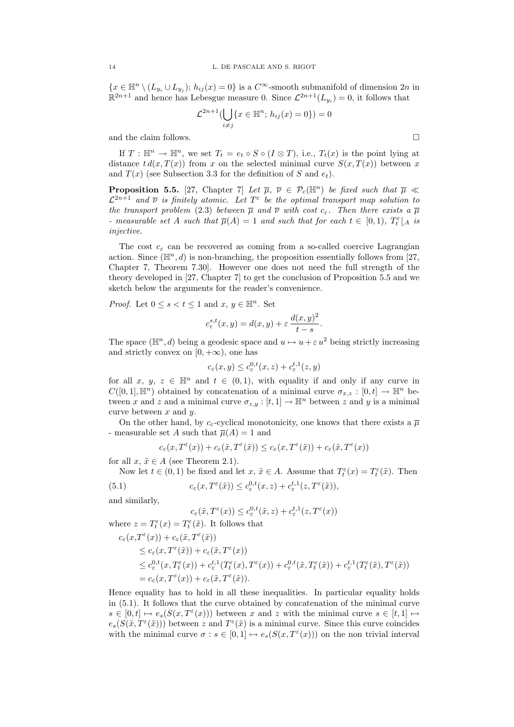${x \in \mathbb{H}^n \setminus (L_{y_i} \cup L_{y_j})$ ;  $h_{ij}(x) = 0}$  is a  $C^{\infty}$ -smooth submanifold of dimension  $2n$  in  $\mathbb{R}^{2n+1}$  and hence has Lebesgue measure 0. Since  $\mathcal{L}^{2n+1}(L_{y_i})=0$ , it follows that

$$
\mathcal{L}^{2n+1}(\bigcup_{i \neq j} \{x \in \mathbb{H}^n; h_{ij}(x) = 0\}) = 0
$$

and the claim follows.  $\hfill \square$ 

If  $T : \mathbb{H}^n \to \mathbb{H}^n$ , we set  $T_t = e_t \circ S \circ (I \otimes T)$ , i.e.,  $T_t(x)$  is the point lying at distance  $t d(x, T(x))$  from x on the selected minimal curve  $S(x, T(x))$  between x and  $T(x)$  (see Subsection 3.3 for the definition of S and  $e_t$ ).

**Proposition 5.5.** [27, Chapter 7] Let  $\overline{\mu}$ ,  $\overline{\nu} \in \mathcal{P}_c(\mathbb{H}^n)$  be fixed such that  $\overline{\mu} \ll$  $\mathcal{L}^{2n+1}$  and  $\overline{\nu}$  is finitely atomic. Let  $T^{\varepsilon}$  be the optimal transport map solution to the transport problem (2.3) between  $\bar{\mu}$  and  $\bar{\nu}$  with cost  $c_{\varepsilon}$ . Then there exists a  $\bar{\mu}$ - measurable set A such that  $\overline{\mu}(A) = 1$  and such that for each  $t \in [0,1)$ ,  $T_t^{\varepsilon}|_A$  is injective.

The cost  $c_{\varepsilon}$  can be recovered as coming from a so-called coercive Lagrangian action. Since  $(\mathbb{H}^n, d)$  is non-branching, the proposition essentially follows from [27, Chapter 7, Theorem 7.30]. However one does not need the full strength of the theory developed in [27, Chapter 7] to get the conclusion of Proposition 5.5 and we sketch below the arguments for the reader's convenience.

*Proof.* Let  $0 \leq s < t \leq 1$  and  $x, y \in \mathbb{H}^n$ . Set

$$
c_{\varepsilon}^{s,t}(x,y) = d(x,y) + \varepsilon \, \frac{d(x,y)^2}{t-s}.
$$

The space  $(\mathbb{H}^n, d)$  being a geodesic space and  $u \mapsto u + \varepsilon u^2$  being strictly increasing and strictly convex on  $[0, +\infty)$ , one has

$$
c_{\varepsilon}(x,y) \leq c_{\varepsilon}^{0,t}(x,z) + c_{\varepsilon}^{t,1}(z,y)
$$

for all x, y, z 
in  $\mathbb{H}^n$  and  $t \in (0,1)$ , with equality if and only if any curve in  $C([0,1], \mathbb{H}^n)$  obtained by concatenation of a minimal curve  $\sigma_{x,z} : [0,t] \to \mathbb{H}^n$  between x and z and a minimal curve  $\sigma_{z,y} : [t,1] \to \mathbb{H}^n$  between z and y is a minimal curve between  $x$  and  $y$ .

On the other hand, by  $c_{\varepsilon}$ -cyclical monotonicity, one knows that there exists a  $\overline{\mu}$ - measurable set A such that  $\overline{\mu}(A) = 1$  and

$$
c_\varepsilon(x,T^\varepsilon(x))+c_\varepsilon(\tilde{x},T^\varepsilon(\tilde{x}))\leq c_\varepsilon(x,T^\varepsilon(\tilde{x}))+c_\varepsilon(\tilde{x},T^\varepsilon(x))
$$

for all  $x, \tilde{x} \in A$  (see Theorem 2.1).

Now let  $t \in (0,1)$  be fixed and let  $x, \tilde{x} \in A$ . Assume that  $T_t^{\varepsilon}(x) = T_t^{\varepsilon}(\tilde{x})$ . Then

(5.1) 
$$
c_{\varepsilon}(x,T^{\varepsilon}(\tilde{x})) \leq c_{\varepsilon}^{0,t}(x,z) + c_{\varepsilon}^{t,1}(z,T^{\varepsilon}(\tilde{x})),
$$

and similarly,

$$
c_{\varepsilon}(\tilde{x},T^{\varepsilon}(x))\leq c_{\varepsilon}^{0,t}(\tilde{x},z)+c_{\varepsilon}^{t,1}(z,T^{\varepsilon}(x))
$$

where 
$$
z = T_t^{\varepsilon}(x) = T_t^{\varepsilon}(\tilde{x})
$$
. It follows that  
\n
$$
c_{\varepsilon}(x,T^{\varepsilon}(x)) + c_{\varepsilon}(\tilde{x},T^{\varepsilon}(\tilde{x}))
$$
\n
$$
\leq c_{\varepsilon}(x,T^{\varepsilon}(\tilde{x})) + c_{\varepsilon}(\tilde{x},T^{\varepsilon}(x))
$$
\n
$$
\leq c_{\varepsilon}^{0,t}(x,T_{t}^{\varepsilon}(x)) + c_{\varepsilon}^{t,1}(T_{t}^{\varepsilon}(x),T^{\varepsilon}(x)) + c_{\varepsilon}^{0,t}(\tilde{x},T_{t}^{\varepsilon}(\tilde{x})) + c_{\varepsilon}^{t,1}(T_{t}^{\varepsilon}(\tilde{x}),T^{\varepsilon}(\tilde{x}))
$$
\n
$$
= c_{\varepsilon}(x,T^{\varepsilon}(x)) + c_{\varepsilon}(\tilde{x},T^{\varepsilon}(\tilde{x})).
$$

Hence equality has to hold in all these inequalities. In particular equality holds in (5.1). It follows that the curve obtained by concatenation of the minimal curve  $s \in [0, t] \mapsto e_s(S(x, T^{\varepsilon}(x)))$  between x and z with the minimal curve  $s \in [t, 1] \mapsto$  $e_s(S(\tilde{x}, T^{\varepsilon}(\tilde{x})))$  between z and  $T^{\varepsilon}(\tilde{x})$  is a minimal curve. Since this curve coincides with the minimal curve  $\sigma : s \in [0,1] \mapsto e_s(S(x,T^{\varepsilon}(x)))$  on the non trivial interval

$$
\boxed{\phantom{0}}
$$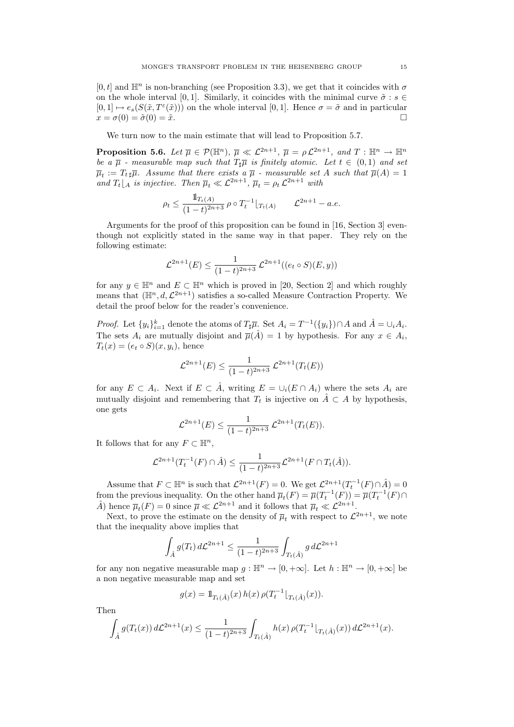$[0, t]$  and  $\mathbb{H}^n$  is non-branching (see Proposition 3.3), we get that it coincides with  $\sigma$ on the whole interval [0, 1]. Similarly, it coincides with the minimal curve  $\tilde{\sigma}$  :  $s \in$  $[0,1] \mapsto e_s(S(\tilde{x}, T^{\varepsilon}(\tilde{x})))$  on the whole interval  $[0,1]$ . Hence  $\sigma = \tilde{\sigma}$  and in particular  $x = \sigma(0) = \tilde{\sigma}(0) = \tilde{x}.$ 

We turn now to the main estimate that will lead to Proposition 5.7.

**Proposition 5.6.** Let  $\overline{\mu} \in \mathcal{P}(\mathbb{H}^n)$ ,  $\overline{\mu} \ll \mathcal{L}^{2n+1}$ ,  $\overline{\mu} = \rho \mathcal{L}^{2n+1}$ , and  $T : \mathbb{H}^n \to \mathbb{H}^n$ be a  $\overline{\mu}$  - measurable map such that  $T_{\sharp} \overline{\mu}$  is finitely atomic. Let  $t \in (0,1)$  and set  $\overline{\mu}_t := T_t \overline{\mu}$ . Assume that there exists a  $\overline{\mu}$  - measurable set A such that  $\overline{\mu}(A) = 1$ and  $T_t\downharpoonright_A$  is injective. Then  $\overline{\mu}_t \ll \mathcal{L}^{2n+1}$ ,  $\overline{\mu}_t = \rho_t \mathcal{L}^{2n+1}$  with

$$
\rho_t \le \frac{\mathbb{1}_{T_t(A)}}{(1-t)^{2n+3}} \, \rho \circ T_t^{-1} \big|_{T_t(A)} \qquad \mathcal{L}^{2n+1} - a.e.
$$

Arguments for the proof of this proposition can be found in [16, Section 3] eventhough not explicitly stated in the same way in that paper. They rely on the following estimate:

$$
\mathcal{L}^{2n+1}(E) \le \frac{1}{(1-t)^{2n+3}} \, \mathcal{L}^{2n+1}((e_t \circ S)(E, y))
$$

for any  $y \in \mathbb{H}^n$  and  $E \subset \mathbb{H}^n$  which is proved in [20, Section 2] and which roughly means that  $(\mathbb{H}^n, d, \mathcal{L}^{2n+1})$  satisfies a so-called Measure Contraction Property. We detail the proof below for the reader's convenience.

*Proof.* Let  $\{y_i\}_{i=1}^k$  denote the atoms of  $T_{\sharp}\overline{\mu}$ . Set  $A_i = T^{-1}(\{y_i\}) \cap A$  and  $\hat{A} = \cup_i A_i$ . The sets  $A_i$  are mutually disjoint and  $\overline{\mu}(\hat{A}) = 1$  by hypothesis. For any  $x \in A_i$ ,  $T_t(x) = (e_t \circ S)(x, y_i)$ , hence

$$
\mathcal{L}^{2n+1}(E) \le \frac{1}{(1-t)^{2n+3}} \mathcal{L}^{2n+1}(T_t(E))
$$

for any  $E \subset A_i$ . Next if  $E \subset \hat{A}$ , writing  $E = \bigcup_i (E \cap A_i)$  where the sets  $A_i$  are mutually disjoint and remembering that  $T_t$  is injective on  $\hat{A} \subset A$  by hypothesis, one gets

$$
\mathcal{L}^{2n+1}(E) \le \frac{1}{(1-t)^{2n+3}} \mathcal{L}^{2n+1}(T_t(E)).
$$

It follows that for any  $F \subset \mathbb{H}^n$ ,

$$
\mathcal{L}^{2n+1}(T_t^{-1}(F) \cap \hat{A}) \le \frac{1}{(1-t)^{2n+3}} \mathcal{L}^{2n+1}(F \cap T_t(\hat{A})).
$$

Assume that  $F \subset \mathbb{H}^n$  is such that  $\mathcal{L}^{2n+1}(F) = 0$ . We get  $\mathcal{L}^{2n+1}(T_t^{-1}(F) \cap \hat{A}) = 0$ from the previous inequality. On the other hand  $\overline{\mu}_t(F) = \overline{\mu}(T_t^{-1}(F)) = \overline{\mu}(T_t^{-1}(F) \cap$  $\hat{A}$ ) hence  $\overline{\mu}_t(F) = 0$  since  $\overline{\mu} \ll \mathcal{L}^{2n+1}$  and it follows that  $\overline{\mu}_t \ll \mathcal{L}^{2n+1}$ .

Next, to prove the estimate on the density of  $\overline{\mu}_t$  with respect to  $\mathcal{L}^{2n+1}$ , we note that the inequality above implies that

$$
\int_{\hat{A}} g(T_t) d\mathcal{L}^{2n+1} \le \frac{1}{(1-t)^{2n+3}} \int_{T_t(\hat{A})} g d\mathcal{L}^{2n+1}
$$

for any non negative measurable map  $g : \mathbb{H}^n \to [0, +\infty]$ . Let  $h : \mathbb{H}^n \to [0, +\infty]$  be a non negative measurable map and set

$$
g(x) = \mathbb{1}_{T_t(\hat{A})}(x) h(x) \, \rho(T_t^{-1} \lfloor_{T_t(\hat{A})}(x)).
$$

Then

$$
\int_{\hat{A}} g(T_t(x)) d\mathcal{L}^{2n+1}(x) \le \frac{1}{(1-t)^{2n+3}} \int_{T_t(\hat{A})} h(x) \, \rho(T_t^{-1} \lfloor_{T_t(\hat{A})}(x)) d\mathcal{L}^{2n+1}(x).
$$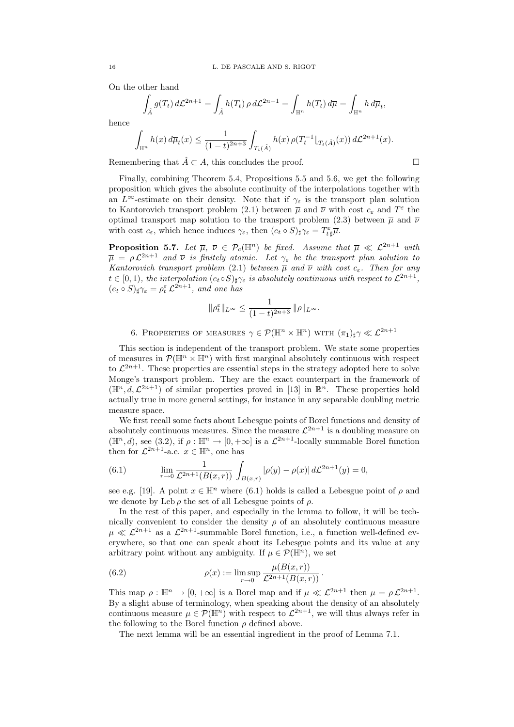On the other hand

$$
\int_{\hat{A}} g(T_t) d\mathcal{L}^{2n+1} = \int_{\hat{A}} h(T_t) \rho d\mathcal{L}^{2n+1} = \int_{\mathbb{H}^n} h(T_t) d\overline{\mu} = \int_{\mathbb{H}^n} h d\overline{\mu}_t,
$$

$$
\int_{\mathbb{H}^n} h(x) d\overline{\mu}_t(x) \le \frac{1}{(1-t)^{2n+3}} \int_{T_t(\hat{A})} h(x) \, \rho(T_t^{-1} \lfloor_{T_t(\hat{A})}(x)) d\mathcal{L}^{2n+1}(x).
$$

Remembering that  $\hat{A} \subset A$ , this concludes the proof.

$$
\Box
$$

Finally, combining Theorem 5.4, Propositions 5.5 and 5.6, we get the following proposition which gives the absolute continuity of the interpolations together with an  $L^{\infty}$ -estimate on their density. Note that if  $\gamma_{\varepsilon}$  is the transport plan solution to Kantorovich transport problem (2.1) between  $\bar{\mu}$  and  $\bar{\nu}$  with cost  $c_{\varepsilon}$  and  $T^{\varepsilon}$  the optimal transport map solution to the transport problem (2.3) between  $\bar{\mu}$  and  $\bar{\nu}$ with cost  $c_{\varepsilon}$ , which hence induces  $\gamma_{\varepsilon}$ , then  $(e_t \circ S)_{\sharp} \gamma_{\varepsilon} = T_{t\sharp}^{\varepsilon} \overline{\mu}$ .

**Proposition 5.7.** Let  $\overline{\mu}$ ,  $\overline{\nu} \in \mathcal{P}_c(\mathbb{H}^n)$  be fixed. Assume that  $\overline{\mu} \ll \mathcal{L}^{2n+1}$  with  $\overline{\mu} = \rho \mathcal{L}^{2n+1}$  and  $\overline{\nu}$  is finitely atomic. Let  $\gamma_{\varepsilon}$  be the transport plan solution to Kantorovich transport problem (2.1) between  $\overline{\mu}$  and  $\overline{\nu}$  with cost  $c_{\varepsilon}$ . Then for any  $t \in [0,1)$ , the interpolation  $(e_t \circ S)_{\sharp} \gamma_{\varepsilon}$  is absolutely continuous with respect to  $\mathcal{L}^{2n+1}$ ,  $(e_t \circ S)_\sharp \gamma_\varepsilon = \rho_t^\varepsilon \mathcal{L}^{2n+1}$ , and one has

$$
\|\rho^\varepsilon_t\|_{L^\infty}\leq \frac{1}{(1-t)^{2n+3}}\,\|\rho\|_{L^\infty}.
$$

6. PROPERTIES OF MEASURES  $\gamma \in \mathcal{P}(\mathbb{H}^n \times \mathbb{H}^n)$  with  $(\pi_1)_\sharp \gamma \ll \mathcal{L}^{2n+1}$ 

This section is independent of the transport problem. We state some properties of measures in  $\mathcal{P}(\mathbb{H}^n \times \mathbb{H}^n)$  with first marginal absolutely continuous with respect to  $\mathcal{L}^{2n+1}$ . These properties are essential steps in the strategy adopted here to solve Monge's transport problem. They are the exact counterpart in the framework of  $(\mathbb{H}^n, d, \mathcal{L}^{2n+1})$  of similar properties proved in [13] in  $\mathbb{R}^n$ . These properties hold actually true in more general settings, for instance in any separable doubling metric measure space.

We first recall some facts about Lebesgue points of Borel functions and density of absolutely continuous measures. Since the measure  $\mathcal{L}^{2n+1}$  is a doubling measure on  $(\mathbb{H}^n, d)$ , see (3.2), if  $\rho : \mathbb{H}^n \to [0, +\infty]$  is a  $\mathcal{L}^{2n+1}$ -locally summable Borel function then for  $\mathcal{L}^{2n+1}$ -a.e.  $x \in \mathbb{H}^n$ , one has

(6.1) 
$$
\lim_{r \to 0} \frac{1}{\mathcal{L}^{2n+1}(B(x,r))} \int_{B(x,r)} |\rho(y) - \rho(x)| d\mathcal{L}^{2n+1}(y) = 0,
$$

see e.g. [19]. A point  $x \in \mathbb{H}^n$  where (6.1) holds is called a Lebesgue point of  $\rho$  and we denote by Leb  $\rho$  the set of all Lebesgue points of  $\rho$ .

In the rest of this paper, and especially in the lemma to follow, it will be technically convenient to consider the density  $\rho$  of an absolutely continuous measure  $\mu \ll L^{2n+1}$  as a  $L^{2n+1}$ -summable Borel function, i.e., a function well-defined everywhere, so that one can speak about its Lebesgue points and its value at any arbitrary point without any ambiguity. If  $\mu \in \mathcal{P}(\mathbb{H}^n)$ , we set

(6.2) 
$$
\rho(x) := \limsup_{r \to 0} \frac{\mu(B(x, r))}{\mathcal{L}^{2n+1}(B(x, r))}.
$$

This map  $\rho : \mathbb{H}^n \to [0, +\infty]$  is a Borel map and if  $\mu \ll \mathcal{L}^{2n+1}$  then  $\mu = \rho \mathcal{L}^{2n+1}$ . By a slight abuse of terminology, when speaking about the density of an absolutely continuous measure  $\mu \in \mathcal{P}(\mathbb{H}^n)$  with respect to  $\mathcal{L}^{2n+1}$ , we will thus always refer in the following to the Borel function  $\rho$  defined above.

The next lemma will be an essential ingredient in the proof of Lemma 7.1.

hence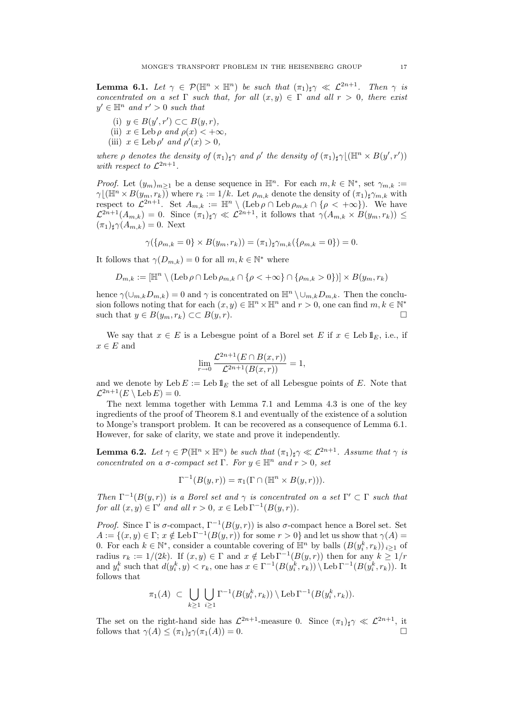**Lemma 6.1.** Let  $\gamma \in \mathcal{P}(\mathbb{H}^n \times \mathbb{H}^n)$  be such that  $(\pi_1)_{\sharp} \gamma \ll \mathcal{L}^{2n+1}$ . Then  $\gamma$  is concentrated on a set  $\Gamma$  such that, for all  $(x, y) \in \Gamma$  and all  $r > 0$ , there exist  $y' \in \mathbb{H}^n$  and  $r' > 0$  such that

- (i)  $y \in B(y', r') \subset \subset B(y, r)$ ,
- (ii)  $x \in \text{Leb } \rho \text{ and } \rho(x) < +\infty$ ,
- (iii)  $x \in \text{Leb } \rho'$  and  $\rho'(x) > 0$ ,

where  $\rho$  denotes the density of  $(\pi_1)_{\sharp} \gamma$  and  $\rho'$  the density of  $(\pi_1)_{\sharp} \gamma$   $(\mathbb{H}^n \times B(y', r'))$ with respect to  $\mathcal{L}^{2n+1}$ .

*Proof.* Let  $(y_m)_{m\geq 1}$  be a dense sequence in  $\mathbb{H}^n$ . For each  $m, k \in \mathbb{N}^*$ , set  $\gamma_{m,k}$  :=  $\gamma(\overline{\mathbb{H}^n} \times B(y_m, r_k))$  where  $r_k := 1/k$ . Let  $\rho_{m,k}$  denote the density of  $(\pi_1)_{\sharp} \gamma_{m,k}$  with respect to  $\mathcal{L}^{2n+1}$ . Set  $A_{m,k} := \mathbb{H}^n \setminus (\text{Leb}\,\rho \cap \text{Leb}\,\rho_{m,k} \cap \{\rho < +\infty\})$ . We have  $\mathcal{L}^{2n+1}(A_{m,k}) = 0$ . Since  $(\pi_1)_{\sharp} \gamma \ll \mathcal{L}^{2n+1}$ , it follows that  $\gamma(A_{m,k} \times B(y_m, r_k)) \leq$  $(\pi_1)_\sharp \gamma(A_{m,k}) = 0.$  Next

$$
\gamma(\{\rho_{m,k} = 0\} \times B(y_m, r_k)) = (\pi_1)_{\sharp} \gamma_{m,k}(\{\rho_{m,k} = 0\}) = 0.
$$

It follows that  $\gamma(D_{m,k}) = 0$  for all  $m, k \in \mathbb{N}^*$  where

$$
D_{m,k}:=[\mathbb H^n\setminus (\operatorname{Leb}\rho\cap\operatorname{Leb}\rho_{m,k}\cap\{\rho<+\infty\}\cap\{\rho_{m,k}>0\})]\times B(y_m,r_k)
$$

hence  $\gamma(\cup_{m,k}D_{m,k})=0$  and  $\gamma$  is concentrated on  $\mathbb{H}^n \setminus \cup_{m,k}D_{m,k}$ . Then the conclusion follows noting that for each  $(x, y) \in \mathbb{H}^n \times \mathbb{H}^n$  and  $r > 0$ , one can find  $m, k \in \mathbb{N}^*$ such that  $y \in B(y_m, r_k) \subset B(y, r)$ .

We say that  $x \in E$  is a Lebesgue point of a Borel set E if  $x \in$  Leb  $1<sub>E</sub>$ , i.e., if  $x \in E$  and

$$
\lim_{r \to 0} \frac{\mathcal{L}^{2n+1}(E \cap B(x,r))}{\mathcal{L}^{2n+1}(B(x,r))} = 1,
$$

and we denote by Leb  $E := \text{Leb} \, 1\!\!1_E$  the set of all Lebesgue points of E. Note that  $\mathcal{L}^{2n+1}(E \setminus \mathrm{Leb}\, E) = 0.$ 

The next lemma together with Lemma 7.1 and Lemma 4.3 is one of the key ingredients of the proof of Theorem 8.1 and eventually of the existence of a solution to Monge's transport problem. It can be recovered as a consequence of Lemma 6.1. However, for sake of clarity, we state and prove it independently.

**Lemma 6.2.** Let  $\gamma \in \mathcal{P}(\mathbb{H}^n \times \mathbb{H}^n)$  be such that  $(\pi_1)_{\sharp} \gamma \ll \mathcal{L}^{2n+1}$ . Assume that  $\gamma$  is concentrated on a  $\sigma$ -compact set  $\Gamma$ . For  $y \in \mathbb{H}^n$  and  $r > 0$ , set

$$
\Gamma^{-1}(B(y,r)) = \pi_1(\Gamma \cap (\mathbb{H}^n \times B(y,r))).
$$

Then  $\Gamma^{-1}(B(y,r))$  is a Borel set and  $\gamma$  is concentrated on a set  $\Gamma' \subset \Gamma$  such that for all  $(x, y) \in \Gamma'$  and all  $r > 0$ ,  $x \in \text{Leb} \Gamma^{-1}(B(y, r))$ .

*Proof.* Since Γ is σ-compact,  $\Gamma^{-1}(B(y, r))$  is also σ-compact hence a Borel set. Set  $A := \{(x, y) \in \Gamma; x \notin \text{Leb}\Gamma^{-1}(B(y, r)) \text{ for some } r > 0\}$  and let us show that  $\gamma(A) =$ 0. For each  $k \in \mathbb{N}^*$ , consider a countable covering of  $\mathbb{H}^n$  by balls  $(B(y_i^k, r_k))_{i \geq 1}$  of radius  $r_k := 1/(2k)$ . If  $(x, y) \in \Gamma$  and  $x \notin \text{Leb} \Gamma^{-1}(B(y, r))$  then for any  $k \geq 1/r$ and  $y_i^k$  such that  $d(y_i^k, y) < r_k$ , one has  $x \in \Gamma^{-1}(B(y_i^k, r_k)) \setminus \text{Leb} \Gamma^{-1}(B(y_i^k, r_k))$ . It follows that

$$
\pi_1(A) \subset \bigcup_{k \geq 1} \bigcup_{i \geq 1} \Gamma^{-1}(B(y_i^k, r_k)) \setminus \text{Leb} \Gamma^{-1}(B(y_i^k, r_k)).
$$

The set on the right-hand side has  $\mathcal{L}^{2n+1}$ -measure 0. Since  $(\pi_1)_{\sharp} \gamma \ll \mathcal{L}^{2n+1}$ , it follows that  $\gamma(A) \leq (\pi_1)_\sharp \gamma(\pi_1(A)) = 0.$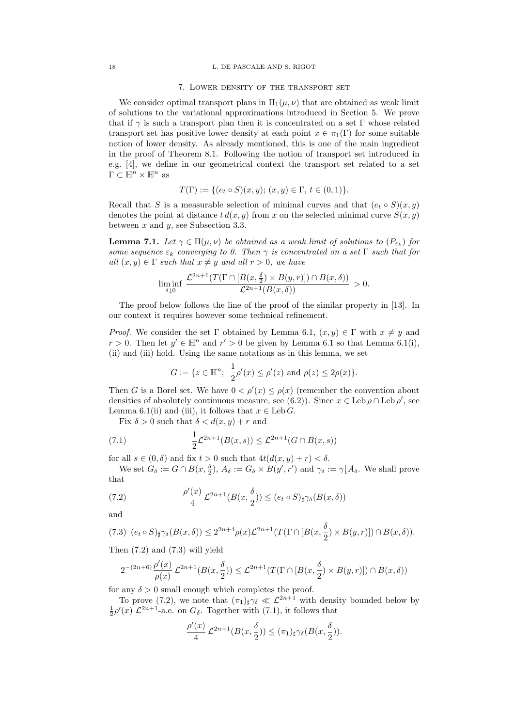#### 18 L. DE PASCALE AND S. RIGOT

## 7. Lower density of the transport set

We consider optimal transport plans in  $\Pi_1(\mu, \nu)$  that are obtained as weak limit of solutions to the variational approximations introduced in Section 5. We prove that if  $\gamma$  is such a transport plan then it is concentrated on a set Γ whose related transport set has positive lower density at each point  $x \in \pi_1(\Gamma)$  for some suitable notion of lower density. As already mentioned, this is one of the main ingredient in the proof of Theorem 8.1. Following the notion of transport set introduced in e.g. [4], we define in our geometrical context the transport set related to a set  $\Gamma \subset \mathbb{H}^n \times \mathbb{H}^n$  as

$$
T(\Gamma) := \{ (e_t \circ S)(x, y); (x, y) \in \Gamma, t \in (0, 1) \}.
$$

Recall that S is a measurable selection of minimal curves and that  $(e_t \circ S)(x, y)$ denotes the point at distance  $t d(x, y)$  from x on the selected minimal curve  $S(x, y)$ between  $x$  and  $y$ , see Subsection 3.3.

**Lemma 7.1.** Let  $\gamma \in \Pi(\mu, \nu)$  be obtained as a weak limit of solutions to  $(P_{\varepsilon_k})$  for some sequence  $\varepsilon_k$  converging to 0. Then  $\gamma$  is concentrated on a set  $\Gamma$  such that for all  $(x, y) \in \Gamma$  such that  $x \neq y$  and all  $r > 0$ , we have

$$
\liminf_{\delta \downarrow 0} \frac{\mathcal{L}^{2n+1}(T(\Gamma \cap [B(x,\frac{\delta}{2}) \times B(y,r)]) \cap B(x,\delta))}{\mathcal{L}^{2n+1}(B(x,\delta))} > 0.
$$

The proof below follows the line of the proof of the similar property in [13]. In our context it requires however some technical refinement.

*Proof.* We consider the set  $\Gamma$  obtained by Lemma 6.1,  $(x, y) \in \Gamma$  with  $x \neq y$  and  $r > 0$ . Then let  $y' \in \mathbb{H}^n$  and  $r' > 0$  be given by Lemma 6.1 so that Lemma 6.1(i), (ii) and (iii) hold. Using the same notations as in this lemma, we set

$$
G := \{ z \in \mathbb{H}^n; \ \frac{1}{2}\rho'(x) \le \rho'(z) \ \text{and} \ \rho(z) \le 2\rho(x) \}.
$$

Then G is a Borel set. We have  $0 < \rho'(x) \leq \rho(x)$  (remember the convention about densities of absolutely continuous measure, see (6.2)). Since  $x \in \text{Leb } \rho \cap \text{Leb } \rho'$ , see Lemma 6.1(ii) and (iii), it follows that  $x \in \text{Leb } G$ .

Fix  $\delta > 0$  such that  $\delta < d(x, y) + r$  and

(7.1) 
$$
\frac{1}{2}\mathcal{L}^{2n+1}(B(x,s)) \leq \mathcal{L}^{2n+1}(G \cap B(x,s))
$$

for all  $s \in (0, \delta)$  and fix  $t > 0$  such that  $4t(d(x, y) + r) < \delta$ .

We set  $G_{\delta} := G \cap B(x, \frac{\delta}{2}), A_{\delta} := G_{\delta} \times B(y', r')$  and  $\gamma_{\delta} := \gamma \lfloor A_{\delta}$ . We shall prove that

(7.2) 
$$
\frac{\rho'(x)}{4} \mathcal{L}^{2n+1}(B(x,\frac{\delta}{2})) \leq (e_t \circ S)_{\sharp} \gamma_{\delta}(B(x,\delta))
$$

and

$$
(7.3) \ \ (e_t \circ S)_{\sharp} \gamma_{\delta}(B(x,\delta)) \leq 2^{2n+4} \rho(x) \mathcal{L}^{2n+1}(T(\Gamma \cap [B(x,\frac{\delta}{2}) \times B(y,r)]) \cap B(x,\delta)).
$$

Then (7.2) and (7.3) will yield

$$
2^{-(2n+6)} \frac{\rho'(x)}{\rho(x)} \, \mathcal{L}^{2n+1}(B(x,\frac{\delta}{2})) \leq \mathcal{L}^{2n+1}(T(\Gamma \cap [B(x,\frac{\delta}{2})\times B(y,r)]) \cap B(x,\delta))
$$

for any  $\delta > 0$  small enough which completes the proof.

To prove (7.2), we note that  $(\pi_1)_{\sharp}\gamma_{\delta} \ll \mathcal{L}^{2n+1}$  with density bounded below by  $\frac{1}{2}\rho'(x) \mathcal{L}^{2n+1}$ -a.e. on  $G_{\delta}$ . Together with (7.1), it follows that

$$
\frac{\rho'(x)}{4}\mathcal{L}^{2n+1}(B(x,\frac{\delta}{2})) \leq (\pi_1)_{\sharp}\gamma_{\delta}(B(x,\frac{\delta}{2})).
$$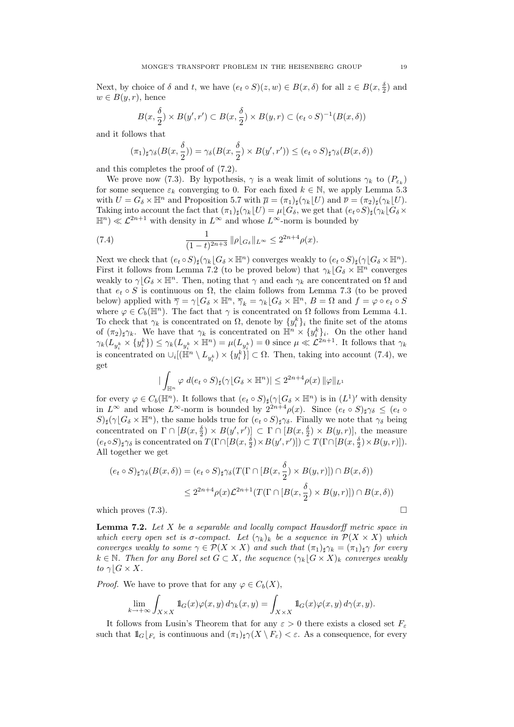Next, by choice of  $\delta$  and  $t$ , we have  $(e_t \circ S)(z, w) \in B(x, \delta)$  for all  $z \in B(x, \frac{\delta}{2})$  and  $w \in B(y,r)$ , hence

$$
B(x, \frac{\delta}{2}) \times B(y', r') \subset B(x, \frac{\delta}{2}) \times B(y, r) \subset (e_t \circ S)^{-1}(B(x, \delta))
$$

and it follows that

$$
(\pi_1)_\sharp \gamma_\delta(B(x,\frac{\delta}{2})) = \gamma_\delta(B(x,\frac{\delta}{2}) \times B(y',r')) \leq (e_t \circ S)_\sharp \gamma_\delta(B(x,\delta))
$$

and this completes the proof of (7.2).

We prove now (7.3). By hypothesis,  $\gamma$  is a weak limit of solutions  $\gamma_k$  to  $(P_{\varepsilon_k})$ for some sequence  $\varepsilon_k$  converging to 0. For each fixed  $k \in \mathbb{N}$ , we apply Lemma 5.3 with  $U = G_{\delta} \times \mathbb{H}^n$  and Proposition 5.7 with  $\overline{\mu} = (\pi_1)_\sharp(\gamma_k|U)$  and  $\overline{\nu} = (\pi_2)_\sharp(\gamma_k|U)$ . Taking into account the fact that  $(\pi_1)_\sharp(\gamma_k|U) = \mu[G_\delta]$ , we get that  $(e_t \circ S)_\sharp(\gamma_k[G_\delta \times$  $\mathbb{H}^n \times \mathcal{L}^{2n+1}$  with density in  $L^{\infty}$  and whose  $L^{\infty}$ -norm is bounded by

(7.4) 
$$
\frac{1}{(1-t)^{2n+3}} \|\rho|_{G_\delta}\|_{L^\infty} \le 2^{2n+4} \rho(x).
$$

Next we check that  $(e_t \circ S)_\sharp(\gamma_k | G_\delta \times \mathbb{H}^n)$  converges weakly to  $(e_t \circ S)_\sharp(\gamma | G_\delta \times \mathbb{H}^n)$ . First it follows from Lemma 7.2 (to be proved below) that  $\gamma_k|G_\delta \times \mathbb{H}^n$  converges weakly to  $\gamma | G_\delta \times \mathbb{H}^n$ . Then, noting that  $\gamma$  and each  $\gamma_k$  are concentrated on  $\Omega$  and that  $e_t \circ S$  is continuous on  $\Omega$ , the claim follows from Lemma 7.3 (to be proved below) applied with  $\overline{\gamma} = \gamma [G_\delta \times \mathbb{H}^n, \overline{\gamma}_k = \gamma_k [G_\delta \times \mathbb{H}^n, B = \Omega \text{ and } f = \varphi \circ e_t \circ S$ where  $\varphi \in C_b(\mathbb{H}^n)$ . The fact that  $\gamma$  is concentrated on  $\Omega$  follows from Lemma 4.1. To check that  $\gamma_k$  is concentrated on  $\Omega$ , denote by  $\{y_i^k\}_i$  the finite set of the atoms of  $(\pi_2)_{\sharp}\gamma_k$ . We have that  $\gamma_k$  is concentrated on  $\mathbb{H}^n \times \{y_i^k\}_i$ . On the other hand  $\gamma_k(L_{y_i^k} \times \{y_i^k\}) \leq \gamma_k(L_{y_i^k} \times \mathbb{H}^n) = \mu(L_{y_i^k}) = 0$  since  $\mu \ll \mathcal{L}^{2n+1}$ . It follows that  $\gamma_k$ is concentrated on  $\cup_i [(\mathbb{H}^n \setminus L_{y_i^k}) \times \{y_i^k\}] \subset \Omega$ . Then, taking into account (7.4), we get

$$
\left| \int_{\mathbb{H}^n} \varphi \, d(e_t \circ S)_{\sharp} (\gamma \lfloor G_{\delta} \times \mathbb{H}^n) \right| \leq 2^{2n+4} \rho(x) \, \|\varphi\|_{L^1}
$$

for every  $\varphi \in C_b(\mathbb{H}^n)$ . It follows that  $(e_t \circ S)_\sharp(\gamma[G_\delta \times \mathbb{H}^n)$  is in  $(L^1)'$  with density in  $L^{\infty}$  and whose  $L^{\infty}$ -norm is bounded by  $2^{2n+4}\rho(x)$ . Since  $(e_t \circ S)_{\sharp}\gamma_{\delta} \leq (e_t \circ S)_{\sharp}$  $S)_{\sharp}(\gamma \mid G_{\delta} \times \mathbb{H}^{n})$ , the same holds true for  $(e_{t} \circ S)_{\sharp} \gamma_{\delta}$ . Finally we note that  $\gamma_{\delta}$  being concentrated on  $\Gamma \cap [B(x, \frac{\delta}{2}) \times B(y', r')] \subset \Gamma \cap [B(x, \frac{\delta}{2}) \times B(y, r)],$  the measure  $(e_t \circ S)_\sharp \gamma_\delta$  is concentrated on  $T(\Gamma \cap [B(x, \frac{\delta}{2}) \times B(y', r')]) \subset T(\Gamma \cap [B(x, \frac{\delta}{2}) \times B(y, r)]).$ All together we get

$$
(e_t \circ S)_\sharp \gamma_\delta(B(x,\delta)) = (e_t \circ S)_\sharp \gamma_\delta(T(\Gamma \cap [B(x,\frac{\delta}{2}) \times B(y,r)]) \cap B(x,\delta))
$$
  

$$
\leq 2^{2n+4} \rho(x) \mathcal{L}^{2n+1}(T(\Gamma \cap [B(x,\frac{\delta}{2}) \times B(y,r)]) \cap B(x,\delta))
$$

which proves  $(7.3)$ .

**Lemma 7.2.** Let  $X$  be a separable and locally compact Hausdorff metric space in which every open set is  $\sigma$ -compact. Let  $(\gamma_k)_k$  be a sequence in  $\mathcal{P}(X \times X)$  which converges weakly to some  $\gamma \in \mathcal{P}(X \times X)$  and such that  $(\pi_1)_\sharp \gamma_k = (\pi_1)_\sharp \gamma$  for every  $k \in \mathbb{N}$ . Then for any Borel set  $G \subset X$ , the sequence  $(\gamma_k | G \times X)_k$  converges weakly to  $\gamma$ |  $G \times X$ .

*Proof.* We have to prove that for any  $\varphi \in C_b(X)$ ,

$$
\lim_{k \to +\infty} \int_{X \times X} 1 \mathbb{1}_G(x) \varphi(x, y) d\gamma_k(x, y) = \int_{X \times X} 1 \mathbb{1}_G(x) \varphi(x, y) d\gamma(x, y).
$$

It follows from Lusin's Theorem that for any  $\varepsilon > 0$  there exists a closed set  $F_{\varepsilon}$ such that  $1\!\!1_G\lfloor_{F_\varepsilon}$  is continuous and  $(\pi_1)_\sharp \gamma(X \setminus F_\varepsilon) < \varepsilon$ . As a consequence, for every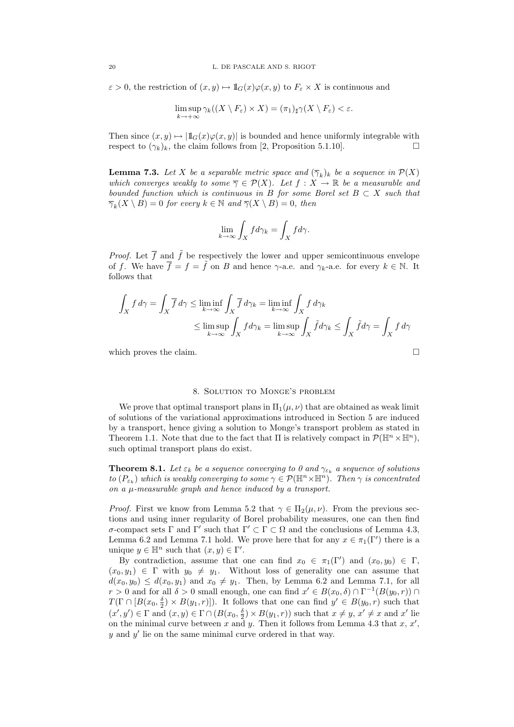$\varepsilon > 0$ , the restriction of  $(x, y) \mapsto \mathbb{1}_G(x)\varphi(x, y)$  to  $F_\varepsilon \times X$  is continuous and

$$
\limsup_{k \to +\infty} \gamma_k((X \setminus F_{\varepsilon}) \times X) = (\pi_1)_{\sharp} \gamma(X \setminus F_{\varepsilon}) < \varepsilon.
$$

Then since  $(x, y) \mapsto |1\mathbf{1}_G(x)\varphi(x, y)|$  is bounded and hence uniformly integrable with respect to  $(\gamma_k)_k$ , the claim follows from [2, Proposition 5.1.10].

**Lemma 7.3.** Let X be a separable metric space and  $(\overline{\gamma}_k)_k$  be a sequence in  $\mathcal{P}(X)$ which converges weakly to some  $\overline{\gamma} \in \mathcal{P}(X)$ . Let  $f : X \to \mathbb{R}$  be a measurable and bounded function which is continuous in B for some Borel set  $B \subset X$  such that  $\overline{\gamma}_k(X \setminus B) = 0$  for every  $k \in \mathbb{N}$  and  $\overline{\gamma}(X \setminus B) = 0$ , then

$$
\lim_{k \to \infty} \int_X f d\gamma_k = \int_X f d\gamma.
$$

*Proof.* Let  $\overline{f}$  and  $\tilde{f}$  be respectively the lower and upper semicontinuous envelope of f. We have  $\overline{f} = f = \overline{f}$  on B and hence  $\gamma$ -a.e. and  $\gamma_k$ -a.e. for every  $k \in \mathbb{N}$ . It follows that

$$
\int_X f \, d\gamma = \int_X \overline{f} \, d\gamma \le \liminf_{k \to \infty} \int_X \overline{f} \, d\gamma_k = \liminf_{k \to \infty} \int_X f \, d\gamma_k
$$
\n
$$
\le \limsup_{k \to \infty} \int_X f \, d\gamma_k = \limsup_{k \to \infty} \int_X \tilde{f} \, d\gamma_k \le \int_X \tilde{f} \, d\gamma = \int_X f \, d\gamma
$$

which proves the claim.  $\Box$ 

## 8. Solution to Monge's problem

We prove that optimal transport plans in  $\Pi_1(\mu, \nu)$  that are obtained as weak limit of solutions of the variational approximations introduced in Section 5 are induced by a transport, hence giving a solution to Monge's transport problem as stated in Theorem 1.1. Note that due to the fact that  $\Pi$  is relatively compact in  $\mathcal{P}(\mathbb{H}^n\times\mathbb{H}^n)$ , such optimal transport plans do exist.

**Theorem 8.1.** Let  $\varepsilon_k$  be a sequence converging to 0 and  $\gamma_{\varepsilon_k}$  a sequence of solutions to  $(P_{\varepsilon_k})$  which is weakly converging to some  $\gamma \in \mathcal{P}(\mathbb{H}^n \times \mathbb{H}^n)$ . Then  $\gamma$  is concentrated on a µ-measurable graph and hence induced by a transport.

*Proof.* First we know from Lemma 5.2 that  $\gamma \in \Pi_2(\mu, \nu)$ . From the previous sections and using inner regularity of Borel probability measures, one can then find σ-compact sets Γ and Γ' such that  $\Gamma' \subset \Gamma \subset \Omega$  and the conclusions of Lemma 4.3, Lemma 6.2 and Lemma 7.1 hold. We prove here that for any  $x \in \pi_1(\Gamma')$  there is a unique  $y \in \mathbb{H}^n$  such that  $(x, y) \in \Gamma'$ .

By contradiction, assume that one can find  $x_0 \in \pi_1(\Gamma')$  and  $(x_0, y_0) \in \Gamma$ ,  $(x_0, y_1) \in \Gamma$  with  $y_0 \neq y_1$ . Without loss of generality one can assume that  $d(x_0, y_0) \leq d(x_0, y_1)$  and  $x_0 \neq y_1$ . Then, by Lemma 6.2 and Lemma 7.1, for all  $r > 0$  and for all  $\delta > 0$  small enough, one can find  $x' \in B(x_0, \delta) \cap \Gamma^{-1}(B(y_0, r)) \cap$  $T(\Gamma \cap [B(x_0, \frac{\delta}{2}) \times B(y_1, r)]).$  It follows that one can find  $y' \in B(y_0, r)$  such that  $(x', y') \in \Gamma$  and  $(x, y) \in \Gamma \cap (B(x_0, \frac{\delta}{2}) \times B(y_1, r))$  such that  $x \neq y$ ,  $x' \neq x$  and  $x'$  lie on the minimal curve between x and y. Then it follows from Lemma 4.3 that x,  $x'$ ,  $y$  and  $y'$  lie on the same minimal curve ordered in that way.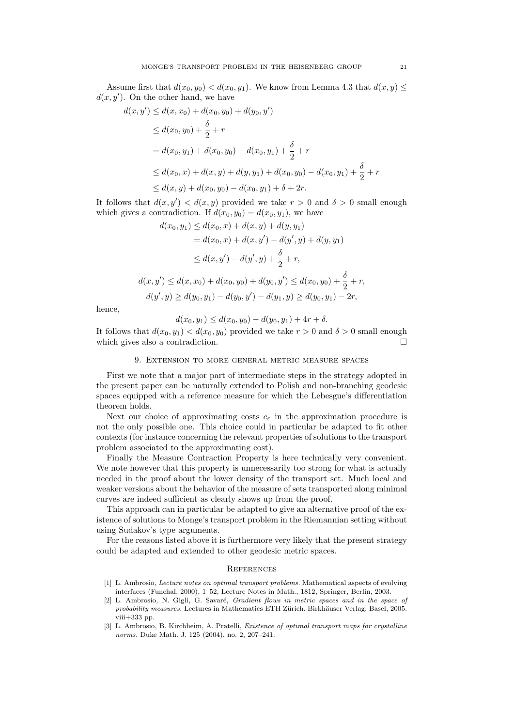Assume first that  $d(x_0, y_0) < d(x_0, y_1)$ . We know from Lemma 4.3 that  $d(x, y) \le$  $d(x, y')$ . On the other hand, we have

$$
(x, y') \le d(x, x_0) + d(x_0, y_0) + d(y_0, y')
$$
  
\n
$$
\le d(x_0, y_0) + \frac{\delta}{2} + r
$$
  
\n
$$
= d(x_0, y_1) + d(x_0, y_0) - d(x_0, y_1) + \frac{\delta}{2} + r
$$
  
\n
$$
\le d(x_0, x) + d(x, y) + d(y, y_1) + d(x_0, y_0) - d(x_0, y_1) + \frac{\delta}{2} + r
$$
  
\n
$$
\le d(x, y) + d(x_0, y_0) - d(x_0, y_1) + \delta + 2r.
$$

It follows that  $d(x, y') < d(x, y)$  provided we take  $r > 0$  and  $\delta > 0$  small enough which gives a contradiction. If  $d(x_0, y_0) = d(x_0, y_1)$ , we have

$$
d(x_0, y_1) \le d(x_0, x) + d(x, y) + d(y, y_1)
$$
  
=  $d(x_0, x) + d(x, y') - d(y', y) + d(y, y_1)$   

$$
\le d(x, y') - d(y', y) + \frac{\delta}{2} + r,
$$
  

$$
d(x, y') \le d(x, x_0) + d(x_0, y_0) + d(y_0, y') \le d(x_0, y_0) + \frac{\delta}{2} + r,
$$
  

$$
d(y', y) \ge d(y_0, y_1) - d(y_0, y') - d(y_1, y) \ge d(y_0, y_1) - 2r,
$$

hence,

 $\overline{d}$ 

$$
d(x_0, y_1) \le d(x_0, y_0) - d(y_0, y_1) + 4r + \delta.
$$

It follows that  $d(x_0, y_1) < d(x_0, y_0)$  provided we take  $r > 0$  and  $\delta > 0$  small enough which gives also a contradiction.

## 9. Extension to more general metric measure spaces

First we note that a major part of intermediate steps in the strategy adopted in the present paper can be naturally extended to Polish and non-branching geodesic spaces equipped with a reference measure for which the Lebesgue's differentiation theorem holds.

Next our choice of approximating costs  $c_{\varepsilon}$  in the approximation procedure is not the only possible one. This choice could in particular be adapted to fit other contexts (for instance concerning the relevant properties of solutions to the transport problem associated to the approximating cost).

Finally the Measure Contraction Property is here technically very convenient. We note however that this property is unnecessarily too strong for what is actually needed in the proof about the lower density of the transport set. Much local and weaker versions about the behavior of the measure of sets transported along minimal curves are indeed sufficient as clearly shows up from the proof.

This approach can in particular be adapted to give an alternative proof of the existence of solutions to Monge's transport problem in the Riemannian setting without using Sudakov's type arguments.

For the reasons listed above it is furthermore very likely that the present strategy could be adapted and extended to other geodesic metric spaces.

## **REFERENCES**

- [1] L. Ambrosio, *Lecture notes on optimal transport problems*. Mathematical aspects of evolving interfaces (Funchal, 2000), 1–52, Lecture Notes in Math., 1812, Springer, Berlin, 2003.
- [2] L. Ambrosio, N. Gigli, G. Savaré, Gradient flows in metric spaces and in the space of probability measures. Lectures in Mathematics ETH Zürich. Birkhäuser Verlag, Basel, 2005. viii+333 pp.
- [3] L. Ambrosio, B. Kirchheim, A. Pratelli, Existence of optimal transport maps for crystalline norms. Duke Math. J. 125 (2004), no. 2, 207–241.